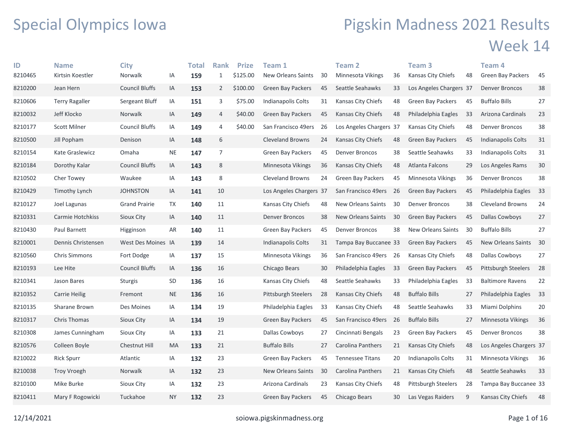## Special Olympics Iowa

## Pigskin Madness 2021 Results Week 14

| ID      | <b>Name</b>          | <b>City</b>           |           | Total | <b>Rank</b>    | <b>Prize</b> | <b>Team 1</b>             |    | Team <sub>2</sub>         |      | Team <sub>3</sub>          |    | Team 4                    |    |
|---------|----------------------|-----------------------|-----------|-------|----------------|--------------|---------------------------|----|---------------------------|------|----------------------------|----|---------------------------|----|
| 8210465 | Kirtsin Koestler     | Norwalk               | IA        | 159   | $\mathbf{1}$   | \$125.00     | <b>New Orleans Saints</b> | 30 | Minnesota Vikings         | 36   | Kansas City Chiefs         | 48 | <b>Green Bay Packers</b>  | 45 |
| 8210200 | Jean Hern            | <b>Council Bluffs</b> | IA        | 153   | $\overline{2}$ | \$100.00     | <b>Green Bay Packers</b>  | 45 | Seattle Seahawks          | 33   | Los Angeles Chargers 37    |    | <b>Denver Broncos</b>     | 38 |
| 8210606 | Terry Ragaller       | Sergeant Bluff        | IA        | 151   | 3              | \$75.00      | Indianapolis Colts        | 31 | Kansas City Chiefs        | 48   | Green Bay Packers          | 45 | <b>Buffalo Bills</b>      | 27 |
| 8210032 | Jeff Klocko          | Norwalk               | IA        | 149   | 4              | \$40.00      | Green Bay Packers         | 45 | Kansas City Chiefs        | 48   | Philadelphia Eagles        | 33 | Arizona Cardinals         | 23 |
| 8210177 | <b>Scott Milner</b>  | Council Bluffs        | ΙA        | 149   | 4              | \$40.00      | San Francisco 49ers       | 26 | Los Angeles Chargers 37   |      | Kansas City Chiefs         | 48 | <b>Denver Broncos</b>     | 38 |
| 8210500 | Jill Popham          | Denison               | IA        | 148   | 6              |              | <b>Cleveland Browns</b>   | 24 | Kansas City Chiefs        | 48   | <b>Green Bay Packers</b>   | 45 | Indianapolis Colts        | 31 |
| 8210154 | Kate Graslewicz      | Omaha                 | <b>NE</b> | 147   | $\overline{7}$ |              | <b>Green Bay Packers</b>  | 45 | <b>Denver Broncos</b>     | 38   | Seattle Seahawks           | 33 | Indianapolis Colts        | 31 |
| 8210184 | Dorothy Kalar        | <b>Council Bluffs</b> | IA        | 143   | 8              |              | Minnesota Vikings         | 36 | Kansas City Chiefs        | 48   | Atlanta Falcons            | 29 | Los Angeles Rams          | 30 |
| 8210502 | Cher Towey           | Waukee                | ΙA        | 143   | 8              |              | <b>Cleveland Browns</b>   | 24 | <b>Green Bay Packers</b>  | 45   | Minnesota Vikings          | 36 | <b>Denver Broncos</b>     | 38 |
| 8210429 | Timothy Lynch        | <b>JOHNSTON</b>       | IA        | 141   | 10             |              | Los Angeles Chargers 37   |    | San Francisco 49ers 26    |      | Green Bay Packers          | 45 | Philadelphia Eagles       | 33 |
| 8210127 | Joel Lagunas         | <b>Grand Prairie</b>  | TX        | 140   | 11             |              | Kansas City Chiefs        | 48 | New Orleans Saints        | 30   | Denver Broncos             | 38 | <b>Cleveland Browns</b>   | 24 |
| 8210331 | Carmie Hotchkiss     | Sioux City            | IA        | 140   | 11             |              | <b>Denver Broncos</b>     | 38 | <b>New Orleans Saints</b> | 30   | <b>Green Bay Packers</b>   | 45 | Dallas Cowboys            | 27 |
| 8210430 | Paul Barnett         | Higginson             | AR        | 140   | 11             |              | Green Bay Packers         | 45 | <b>Denver Broncos</b>     | 38   | <b>New Orleans Saints</b>  | 30 | <b>Buffalo Bills</b>      | 27 |
| 8210001 | Dennis Christensen   | West Des Moines IA    |           | 139   | 14             |              | Indianapolis Colts        | 31 | Tampa Bay Buccanee 33     |      | Green Bay Packers          | 45 | <b>New Orleans Saints</b> | 30 |
| 8210560 | <b>Chris Simmons</b> | Fort Dodge            | IA        | 137   | 15             |              | Minnesota Vikings         | 36 | San Francisco 49ers 26    |      | Kansas City Chiefs         | 48 | Dallas Cowboys            | 27 |
| 8210193 | Lee Hite             | <b>Council Bluffs</b> | IA        | 136   | 16             |              | Chicago Bears             | 30 | Philadelphia Eagles       | 33   | <b>Green Bay Packers</b>   | 45 | Pittsburgh Steelers       | 28 |
| 8210341 | Jason Bares          | Sturgis               | SD        | 136   | 16             |              | Kansas City Chiefs        | 48 | Seattle Seahawks          | 33   | Philadelphia Eagles        | 33 | <b>Baltimore Ravens</b>   | 22 |
| 8210352 | Carrie Heilig        | Fremont               | <b>NE</b> | 136   | 16             |              | Pittsburgh Steelers       | 28 | Kansas City Chiefs        | 48   | <b>Buffalo Bills</b>       | 27 | Philadelphia Eagles       | 33 |
| 8210135 | Sharane Brown        | Des Moines            | ΙA        | 134   | 19             |              | Philadelphia Eagles       | 33 | Kansas City Chiefs        | 48   | Seattle Seahawks           | 33 | Miami Dolphins            | 20 |
| 8210317 | <b>Chris Thomas</b>  | Sioux City            | IA        | 134   | 19             |              | <b>Green Bay Packers</b>  | 45 | San Francisco 49ers       | - 26 | <b>Buffalo Bills</b>       | 27 | Minnesota Vikings         | 36 |
| 8210308 | James Cunningham     | Sioux City            | IA        | 133   | 21             |              | Dallas Cowboys            | 27 | Cincinnati Bengals        | 23   | <b>Green Bay Packers</b>   | 45 | Denver Broncos            | 38 |
| 8210576 | Colleen Boyle        | Chestnut Hill         | MA        | 133   | 21             |              | <b>Buffalo Bills</b>      | 27 | Carolina Panthers         | 21   | Kansas City Chiefs         | 48 | Los Angeles Chargers 37   |    |
| 8210022 | <b>Rick Spurr</b>    | Atlantic              | ΙA        | 132   | 23             |              | Green Bay Packers         | 45 | <b>Tennessee Titans</b>   | 20   | Indianapolis Colts         | 31 | Minnesota Vikings         | 36 |
| 8210038 | <b>Troy Vroegh</b>   | Norwalk               | IA        | 132   | 23             |              | New Orleans Saints        | 30 | Carolina Panthers         | 21   | Kansas City Chiefs         | 48 | Seattle Seahawks          | 33 |
| 8210100 | Mike Burke           | Sioux City            | IA        | 132   | 23             |              | Arizona Cardinals         | 23 | Kansas City Chiefs        | 48   | <b>Pittsburgh Steelers</b> | 28 | Tampa Bay Buccanee 33     |    |
| 8210411 | Mary F Rogowicki     | Tuckahoe              | <b>NY</b> | 132   | 23             |              | <b>Green Bay Packers</b>  | 45 | Chicago Bears             | 30   | Las Vegas Raiders          | 9  | Kansas City Chiefs        | 48 |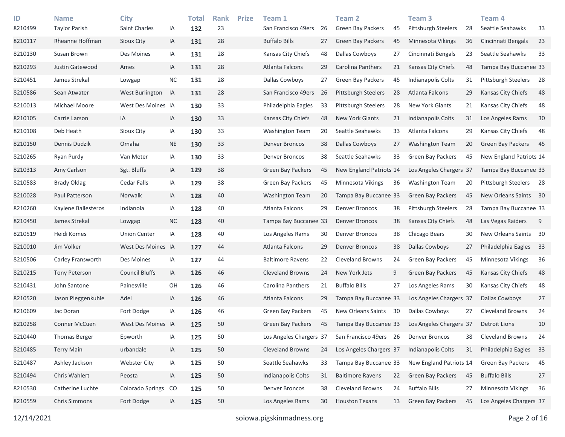| ID<br>8210499 | <b>Name</b><br><b>Taylor Parish</b> | <b>City</b><br>Saint Charles | IA        | <b>Total</b><br>132 | <b>Rank</b><br>23 | <b>Prize</b> | Team 1<br>San Francisco 49ers | 26 | <b>Team 2</b><br><b>Green Bay Packers</b> | 45 | Team <sub>3</sub><br><b>Pittsburgh Steelers</b> | 28 | Team <sub>4</sub><br>Seattle Seahawks | 33 |
|---------------|-------------------------------------|------------------------------|-----------|---------------------|-------------------|--------------|-------------------------------|----|-------------------------------------------|----|-------------------------------------------------|----|---------------------------------------|----|
| 8210117       | Rheanne Hoffman                     | Sioux City                   | IA        | 131                 | 28                |              | <b>Buffalo Bills</b>          | 27 | Green Bay Packers                         | 45 | <b>Minnesota Vikings</b>                        | 36 | Cincinnati Bengals                    | 23 |
| 8210130       | Susan Brown                         | Des Moines                   | IA        | 131                 | 28                |              | Kansas City Chiefs            | 48 | Dallas Cowboys                            | 27 | Cincinnati Bengals                              | 23 | Seattle Seahawks                      | 33 |
| 8210293       | Justin Gatewood                     | Ames                         | IA        | 131                 | 28                |              | Atlanta Falcons               | 29 | Carolina Panthers                         | 21 | Kansas City Chiefs                              | 48 | Tampa Bay Buccanee 33                 |    |
| 8210451       | James Strekal                       | Lowgap                       | <b>NC</b> | 131                 | 28                |              | Dallas Cowboys                | 27 | <b>Green Bay Packers</b>                  | 45 | Indianapolis Colts                              | 31 | Pittsburgh Steelers                   | 28 |
| 8210586       | Sean Atwater                        | West Burlington              | IA        | 131                 | 28                |              | San Francisco 49ers           | 26 | <b>Pittsburgh Steelers</b>                | 28 | Atlanta Falcons                                 | 29 | Kansas City Chiefs                    | 48 |
| 8210013       | Michael Moore                       | West Des Moines IA           |           | 130                 | 33                |              | Philadelphia Eagles           | 33 | Pittsburgh Steelers                       | 28 | New York Giants                                 | 21 | Kansas City Chiefs                    | 48 |
| 8210105       | Carrie Larson                       | IA                           | IA        | 130                 | 33                |              | Kansas City Chiefs            | 48 | <b>New York Giants</b>                    | 21 | Indianapolis Colts                              | 31 | Los Angeles Rams                      | 30 |
| 8210108       | Deb Heath                           | Sioux City                   | ΙA        | 130                 | 33                |              | <b>Washington Team</b>        | 20 | Seattle Seahawks                          | 33 | Atlanta Falcons                                 | 29 | Kansas City Chiefs                    | 48 |
| 8210150       | Dennis Dudzik                       | Omaha                        | <b>NE</b> | 130                 | 33                |              | <b>Denver Broncos</b>         | 38 | Dallas Cowboys                            | 27 | <b>Washington Team</b>                          | 20 | Green Bay Packers                     | 45 |
| 8210265       | Ryan Purdy                          | Van Meter                    | IA        | 130                 | 33                |              | Denver Broncos                | 38 | Seattle Seahawks                          | 33 | <b>Green Bay Packers</b>                        | 45 | New England Patriots 14               |    |
| 8210313       | Amy Carlson                         | Sgt. Bluffs                  | IA        | 129                 | 38                |              | Green Bay Packers             | 45 | New England Patriots 14                   |    | Los Angeles Chargers 37                         |    | Tampa Bay Buccanee 33                 |    |
| 8210583       | <b>Brady Oldag</b>                  | <b>Cedar Falls</b>           | IA        | 129                 | 38                |              | Green Bay Packers             | 45 | Minnesota Vikings                         | 36 | <b>Washington Team</b>                          | 20 | Pittsburgh Steelers 28                |    |
| 8210028       | Paul Patterson                      | Norwalk                      | IA        | 128                 | 40                |              | <b>Washington Team</b>        | 20 | Tampa Bay Buccanee 33                     |    | <b>Green Bay Packers</b>                        | 45 | New Orleans Saints 30                 |    |
| 8210260       | Kaylene Ballesteros                 | Indianola                    | ΙA        | 128                 | 40                |              | Atlanta Falcons               | 29 | <b>Denver Broncos</b>                     | 38 | <b>Pittsburgh Steelers</b>                      | 28 | Tampa Bay Buccanee 33                 |    |
| 8210450       | James Strekal                       | Lowgap                       | <b>NC</b> | 128                 | 40                |              | Tampa Bay Buccanee 33         |    | <b>Denver Broncos</b>                     | 38 | Kansas City Chiefs                              | 48 | Las Vegas Raiders                     | 9  |
| 8210519       | Heidi Komes                         | <b>Union Center</b>          | IA        | 128                 | 40                |              | Los Angeles Rams              | 30 | <b>Denver Broncos</b>                     | 38 | Chicago Bears                                   | 30 | New Orleans Saints 30                 |    |
| 8210010       | Jim Volker                          | West Des Moines IA           |           | 127                 | 44                |              | Atlanta Falcons               | 29 | <b>Denver Broncos</b>                     | 38 | <b>Dallas Cowboys</b>                           | 27 | Philadelphia Eagles                   | 33 |
| 8210506       | Carley Fransworth                   | Des Moines                   | IA        | 127                 | 44                |              | <b>Baltimore Ravens</b>       | 22 | <b>Cleveland Browns</b>                   | 24 | Green Bay Packers                               | 45 | <b>Minnesota Vikings</b>              | 36 |
| 8210215       | <b>Tony Peterson</b>                | <b>Council Bluffs</b>        | IA        | 126                 | 46                |              | <b>Cleveland Browns</b>       | 24 | New York Jets                             | 9  | <b>Green Bay Packers</b>                        | 45 | Kansas City Chiefs                    | 48 |
| 8210431       | John Santone                        | Painesville                  | OH        | 126                 | 46                |              | Carolina Panthers             | 21 | <b>Buffalo Bills</b>                      | 27 | Los Angeles Rams                                | 30 | Kansas City Chiefs                    | 48 |
| 8210520       | Jason Pleggenkuhle                  | Adel                         | IA        | 126                 | 46                |              | Atlanta Falcons               | 29 | Tampa Bay Buccanee 33                     |    | Los Angeles Chargers 37                         |    | Dallas Cowboys                        | 27 |
| 8210609       | Jac Doran                           | Fort Dodge                   | IA        | 126                 | 46                |              | Green Bay Packers             | 45 | New Orleans Saints                        | 30 | Dallas Cowboys                                  | 27 | <b>Cleveland Browns</b>               | 24 |
| 8210258       | <b>Conner McCuen</b>                | West Des Moines IA           |           | 125                 | 50                |              | <b>Green Bay Packers</b>      | 45 | Tampa Bay Buccanee 33                     |    | Los Angeles Chargers 37                         |    | <b>Detroit Lions</b>                  | 10 |
| 8210440       | <b>Thomas Berger</b>                | Epworth                      | ΙA        | 125                 | 50                |              | Los Angeles Chargers 37       |    | San Francisco 49ers 26                    |    | <b>Denver Broncos</b>                           | 38 | Cleveland Browns                      | 24 |
| 8210485       | <b>Terry Main</b>                   | urbandale                    | IA        | 125                 | 50                |              | Cleveland Browns              | 24 | Los Angeles Chargers 37                   |    | Indianapolis Colts                              | 31 | Philadelphia Eagles                   | 33 |
| 8210487       | Ashley Jackson                      | <b>Webster City</b>          | IA        | 125                 | 50                |              | Seattle Seahawks              | 33 | Tampa Bay Buccanee 33                     |    | New England Patriots 14                         |    | Green Bay Packers                     | 45 |
| 8210494       | Chris Wahlert                       | Peosta                       | IA        | 125                 | 50                |              | Indianapolis Colts            | 31 | <b>Baltimore Ravens</b>                   | 22 | Green Bay Packers                               | 45 | <b>Buffalo Bills</b>                  | 27 |
| 8210530       | Catherine Luchte                    | Colorado Springs             | CO        | 125                 | 50                |              | Denver Broncos                | 38 | Cleveland Browns                          | 24 | <b>Buffalo Bills</b>                            | 27 | Minnesota Vikings                     | 36 |
| 8210559       | Chris Simmons                       | Fort Dodge                   | IA        | 125                 | 50                |              | Los Angeles Rams              | 30 | <b>Houston Texans</b>                     | 13 | Green Bay Packers                               | 45 | Los Angeles Chargers 37               |    |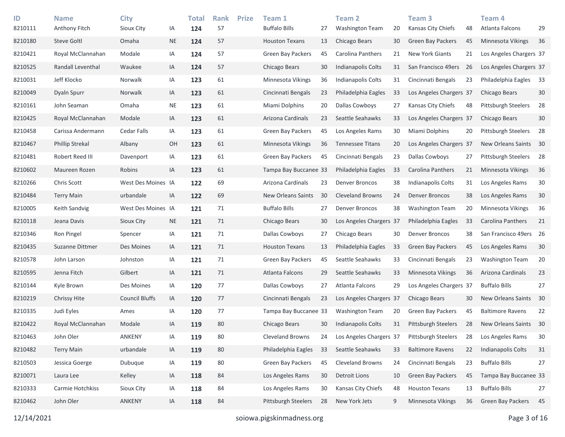| ID<br>8210111 | <b>Name</b><br>Anthony Fitch | <b>City</b><br>Sioux City | IA        | <b>Total</b><br>124 | <b>Rank</b><br>57 | <b>Prize</b> | Team 1<br><b>Buffalo Bills</b> | 27 | Team <sub>2</sub><br>Washington Team | 20 | Team <sub>3</sub><br>Kansas City Chiefs | 48 | Team <sub>4</sub><br>Atlanta Falcons | 29 |
|---------------|------------------------------|---------------------------|-----------|---------------------|-------------------|--------------|--------------------------------|----|--------------------------------------|----|-----------------------------------------|----|--------------------------------------|----|
| 8210180       | <b>Steve Goltl</b>           | Omaha                     | $\sf NE$  | 124                 | 57                |              | <b>Houston Texans</b>          | 13 | Chicago Bears                        | 30 | <b>Green Bay Packers</b>                | 45 | <b>Minnesota Vikings</b>             | 36 |
| 8210421       | Royal McClannahan            | Modale                    | IA        | 124                 | 57                |              | <b>Green Bay Packers</b>       | 45 | Carolina Panthers                    | 21 | New York Giants                         | 21 | Los Angeles Chargers 37              |    |
| 8210525       | Randall Leventhal            | Waukee                    | IA        | 124                 | 57                |              | Chicago Bears                  | 30 | Indianapolis Colts                   | 31 | San Francisco 49ers                     | 26 | Los Angeles Chargers 37              |    |
| 8210031       | Jeff Klocko                  | Norwalk                   | IA        | 123                 | 61                |              | Minnesota Vikings              | 36 | Indianapolis Colts                   | 31 | Cincinnati Bengals                      | 23 | Philadelphia Eagles                  | 33 |
| 8210049       | Dyaln Spurr                  | Norwalk                   | IA        | 123                 | 61                |              | Cincinnati Bengals             | 23 | Philadelphia Eagles                  | 33 | Los Angeles Chargers 37                 |    | Chicago Bears                        | 30 |
| 8210161       | John Seaman                  | Omaha                     | <b>NE</b> | 123                 | 61                |              | Miami Dolphins                 | 20 | Dallas Cowboys                       | 27 | Kansas City Chiefs                      | 48 | <b>Pittsburgh Steelers</b>           | 28 |
| 8210425       | Royal McClannahan            | Modale                    | IA        | 123                 | 61                |              | Arizona Cardinals              | 23 | Seattle Seahawks                     | 33 | Los Angeles Chargers 37                 |    | Chicago Bears                        | 30 |
| 8210458       | Carissa Andermann            | <b>Cedar Falls</b>        | IA        | 123                 | 61                |              | Green Bay Packers              | 45 | Los Angeles Rams                     | 30 | Miami Dolphins                          | 20 | <b>Pittsburgh Steelers</b>           | 28 |
| 8210467       | <b>Phillip Strekal</b>       | Albany                    | OH        | 123                 | 61                |              | Minnesota Vikings              | 36 | <b>Tennessee Titans</b>              | 20 | Los Angeles Chargers 37                 |    | New Orleans Saints                   | 30 |
| 8210481       | Robert Reed III              | Davenport                 | IA        | 123                 | 61                |              | <b>Green Bay Packers</b>       | 45 | Cincinnati Bengals                   | 23 | Dallas Cowboys                          | 27 | <b>Pittsburgh Steelers</b>           | 28 |
| 8210602       | Maureen Rozen                | Robins                    | IA        | 123                 | 61                |              | Tampa Bay Buccanee 33          |    | Philadelphia Eagles                  | 33 | Carolina Panthers                       | 21 | Minnesota Vikings                    | 36 |
| 8210266       | Chris Scott                  | West Des Moines IA        |           | 122                 | 69                |              | Arizona Cardinals              | 23 | Denver Broncos                       | 38 | Indianapolis Colts                      | 31 | Los Angeles Rams                     | 30 |
| 8210484       | <b>Terry Main</b>            | urbandale                 | IA        | 122                 | 69                |              | New Orleans Saints             | 30 | Cleveland Browns                     | 24 | <b>Denver Broncos</b>                   | 38 | Los Angeles Rams                     | 30 |
| 8210005       | Keith Sandvig                | West Des Moines IA        |           | 121                 | 71                |              | <b>Buffalo Bills</b>           | 27 | Denver Broncos                       | 38 | <b>Washington Team</b>                  | 20 | Minnesota Vikings                    | 36 |
| 8210118       | Jeana Davis                  | Sioux City                | <b>NE</b> | 121                 | 71                |              | Chicago Bears                  | 30 | Los Angeles Chargers 37              |    | Philadelphia Eagles                     | 33 | Carolina Panthers                    | 21 |
| 8210346       | Ron Pingel                   | Spencer                   | IA        | 121                 | 71                |              | Dallas Cowboys                 | 27 | Chicago Bears                        | 30 | <b>Denver Broncos</b>                   | 38 | San Francisco 49ers 26               |    |
| 8210435       | Suzanne Dittmer              | Des Moines                | IA        | 121                 | 71                |              | <b>Houston Texans</b>          | 13 | Philadelphia Eagles                  | 33 | Green Bay Packers                       | 45 | Los Angeles Rams                     | 30 |
| 8210578       | John Larson                  | Johnston                  | IA        | 121                 | 71                |              | <b>Green Bay Packers</b>       | 45 | Seattle Seahawks                     | 33 | Cincinnati Bengals                      | 23 | <b>Washington Team</b>               | 20 |
| 8210595       | Jenna Fitch                  | Gilbert                   | IA        | 121                 | 71                |              | Atlanta Falcons                | 29 | Seattle Seahawks                     | 33 | Minnesota Vikings                       | 36 | Arizona Cardinals                    | 23 |
| 8210144       | Kyle Brown                   | Des Moines                | IA        | 120                 | 77                |              | Dallas Cowboys                 | 27 | Atlanta Falcons                      | 29 | Los Angeles Chargers 37                 |    | <b>Buffalo Bills</b>                 | 27 |
| 8210219       | <b>Chrissy Hite</b>          | <b>Council Bluffs</b>     | IA        | 120                 | 77                |              | Cincinnati Bengals             | 23 | Los Angeles Chargers 37              |    | Chicago Bears                           | 30 | New Orleans Saints                   | 30 |
| 8210335       | Judi Eyles                   | Ames                      | IA        | 120                 | 77                |              | Tampa Bay Buccanee 33          |    | <b>Washington Team</b>               | 20 | <b>Green Bay Packers</b>                | 45 | <b>Baltimore Ravens</b>              | 22 |
| 8210422       | Royal McClannahan            | Modale                    | IA        | 119                 | 80                |              | Chicago Bears                  | 30 | <b>Indianapolis Colts</b>            | 31 | <b>Pittsburgh Steelers</b>              | 28 | New Orleans Saints                   | 30 |
| 8210463       | John Oler                    | ANKENY                    | IA        | 119                 | $80\,$            |              | Cleveland Browns               | 24 | Los Angeles Chargers 37              |    | Pittsburgh Steelers                     | 28 | Los Angeles Rams                     | 30 |
| 8210482       | <b>Terry Main</b>            | urbandale                 | IA        | 119                 | 80                |              | Philadelphia Eagles            | 33 | Seattle Seahawks                     | 33 | <b>Baltimore Ravens</b>                 | 22 | Indianapolis Colts                   | 31 |
| 8210503       | Jessica Goerge               | Dubuque                   | IA        | 119                 | 80                |              | Green Bay Packers              | 45 | Cleveland Browns                     | 24 | Cincinnati Bengals                      | 23 | <b>Buffalo Bills</b>                 | 27 |
| 8210071       | Laura Lee                    | Kelley                    | IA        | 118                 | 84                |              | Los Angeles Rams               | 30 | <b>Detroit Lions</b>                 | 10 | Green Bay Packers                       | 45 | Tampa Bay Buccanee 33                |    |
| 8210333       | Carmie Hotchkiss             | Sioux City                | IA        | 118                 | 84                |              | Los Angeles Rams               | 30 | Kansas City Chiefs                   | 48 | <b>Houston Texans</b>                   | 13 | <b>Buffalo Bills</b>                 | 27 |
| 8210462       | John Oler                    | <b>ANKENY</b>             | IA        | 118                 | 84                |              | Pittsburgh Steelers            | 28 | New York Jets                        | 9  | Minnesota Vikings                       | 36 | <b>Green Bay Packers</b>             | 45 |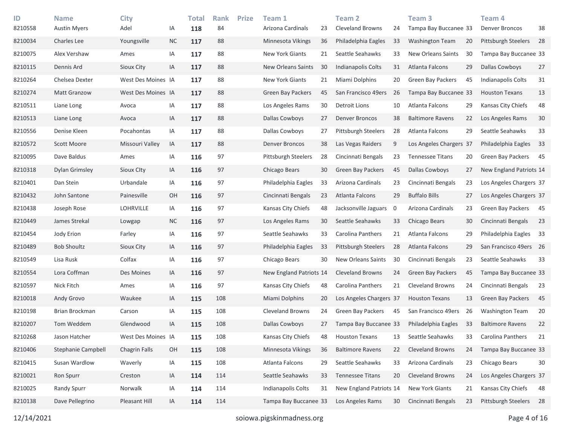| ID<br>8210558 | <b>Name</b><br><b>Austin Myers</b> | <b>City</b><br>Adel  | ΙA        | Total<br>118 | <b>Rank</b><br>84 | <b>Prize</b> | Team 1<br>Arizona Cardinals | 23 | <b>Team 2</b><br><b>Cleveland Browns</b> | 24 | Team <sub>3</sub><br>Tampa Bay Buccanee 33 |    | Team 4<br><b>Denver Broncos</b> | 38   |
|---------------|------------------------------------|----------------------|-----------|--------------|-------------------|--------------|-----------------------------|----|------------------------------------------|----|--------------------------------------------|----|---------------------------------|------|
| 8210034       | Charles Lee                        | Youngsville          | <b>NC</b> | 117          | 88                |              | Minnesota Vikings           | 36 | Philadelphia Eagles                      | 33 | <b>Washington Team</b>                     | 20 | Pittsburgh Steelers             | 28   |
| 8210075       | Alex Vershaw                       | Ames                 | IA        | 117          | 88                |              | New York Giants             | 21 | Seattle Seahawks                         | 33 | New Orleans Saints                         | 30 | Tampa Bay Buccanee 33           |      |
| 8210115       | Dennis Ard                         | Sioux City           | IA        | 117          | 88                |              | New Orleans Saints          | 30 | Indianapolis Colts                       | 31 | Atlanta Falcons                            | 29 | Dallas Cowboys                  | 27   |
| 8210264       | Chelsea Dexter                     | West Des Moines IA   |           | 117          | 88                |              | New York Giants             | 21 | Miami Dolphins                           | 20 | <b>Green Bay Packers</b>                   | 45 | Indianapolis Colts              | 31   |
| 8210274       | <b>Matt Granzow</b>                | West Des Moines IA   |           | 117          | 88                |              | <b>Green Bay Packers</b>    | 45 | San Francisco 49ers                      | 26 | Tampa Bay Buccanee 33                      |    | <b>Houston Texans</b>           | 13   |
| 8210511       | Liane Long                         | Avoca                | IA        | 117          | 88                |              | Los Angeles Rams            | 30 | Detroit Lions                            | 10 | Atlanta Falcons                            | 29 | Kansas City Chiefs              | 48   |
| 8210513       | Liane Long                         | Avoca                | IA        | 117          | 88                |              | Dallas Cowboys              | 27 | <b>Denver Broncos</b>                    | 38 | <b>Baltimore Ravens</b>                    | 22 | Los Angeles Rams                | 30   |
| 8210556       | Denise Kleen                       | Pocahontas           | IA        | 117          | 88                |              | Dallas Cowboys              | 27 | Pittsburgh Steelers                      | 28 | Atlanta Falcons                            | 29 | Seattle Seahawks                | 33   |
| 8210572       | <b>Scott Moore</b>                 | Missouri Valley      | IA        | 117          | 88                |              | <b>Denver Broncos</b>       | 38 | Las Vegas Raiders                        | 9  | Los Angeles Chargers 37                    |    | Philadelphia Eagles             | 33   |
| 8210095       | Dave Baldus                        | Ames                 | IA        | 116          | 97                |              | Pittsburgh Steelers         | 28 | Cincinnati Bengals                       | 23 | <b>Tennessee Titans</b>                    | 20 | <b>Green Bay Packers</b>        | 45   |
| 8210318       | <b>Dylan Grimsley</b>              | Sioux City           | IA        | 116          | 97                |              | Chicago Bears               | 30 | Green Bay Packers                        | 45 | <b>Dallas Cowboys</b>                      | 27 | New England Patriots 14         |      |
| 8210401       | Dan Stein                          | Urbandale            | IA        | 116          | 97                |              | Philadelphia Eagles         | 33 | Arizona Cardinals                        | 23 | Cincinnati Bengals                         | 23 | Los Angeles Chargers 37         |      |
| 8210432       | John Santone                       | Painesville          | OH        | 116          | 97                |              | Cincinnati Bengals          | 23 | Atlanta Falcons                          | 29 | <b>Buffalo Bills</b>                       | 27 | Los Angeles Chargers 37         |      |
| 8210438       | Joseph Rose                        | <b>LOHRVILLE</b>     | IA        | 116          | 97                |              | Kansas City Chiefs          | 48 | Jacksonville Jaguars                     | 0  | Arizona Cardinals                          | 23 | Green Bay Packers 45            |      |
| 8210449       | James Strekal                      | Lowgap               | <b>NC</b> | 116          | 97                |              | Los Angeles Rams            | 30 | Seattle Seahawks                         | 33 | Chicago Bears                              | 30 | Cincinnati Bengals              | 23   |
| 8210454       | Jody Erion                         | Farley               | IA        | 116          | 97                |              | Seattle Seahawks            | 33 | Carolina Panthers                        | 21 | Atlanta Falcons                            | 29 | Philadelphia Eagles             | 33   |
| 8210489       | <b>Bob Shoultz</b>                 | Sioux City           | IA        | 116          | 97                |              | Philadelphia Eagles         | 33 | <b>Pittsburgh Steelers</b>               | 28 | Atlanta Falcons                            | 29 | San Francisco 49ers 26          |      |
| 8210549       | Lisa Rusk                          | Colfax               | IA        | 116          | 97                |              | Chicago Bears               | 30 | New Orleans Saints                       | 30 | Cincinnati Bengals                         | 23 | Seattle Seahawks                | 33   |
| 8210554       | Lora Coffman                       | Des Moines           | IA        | 116          | 97                |              | New England Patriots 14     |    | <b>Cleveland Browns</b>                  | 24 | <b>Green Bay Packers</b>                   | 45 | Tampa Bay Buccanee 33           |      |
| 8210597       | Nick Fitch                         | Ames                 | ΙA        | 116          | 97                |              | Kansas City Chiefs          | 48 | Carolina Panthers                        | 21 | <b>Cleveland Browns</b>                    | 24 | Cincinnati Bengals              | 23   |
| 8210018       | Andy Grovo                         | Waukee               | IA        | 115          | 108               |              | Miami Dolphins              | 20 | Los Angeles Chargers 37                  |    | <b>Houston Texans</b>                      | 13 | <b>Green Bay Packers</b>        | - 45 |
| 8210198       | Brian Brockman                     | Carson               | IA        | 115          | 108               |              | <b>Cleveland Browns</b>     | 24 | Green Bay Packers                        | 45 | San Francisco 49ers                        | 26 | Washington Team                 | 20   |
| 8210207       | Tom Weddem                         | Glendwood            | IA        | 115          | 108               |              | Dallas Cowboys              | 27 | Tampa Bay Buccanee 33                    |    | Philadelphia Eagles                        | 33 | <b>Baltimore Ravens</b>         | 22   |
| 8210268       | Jason Hatcher                      | West Des Moines IA   |           | 115          | 108               |              | Kansas City Chiefs          | 48 | <b>Houston Texans</b>                    | 13 | Seattle Seahawks                           | 33 | Carolina Panthers               | 21   |
| 8210406       | Stephanie Campbell                 | <b>Chagrin Falls</b> | OH        | 115          | 108               |              | Minnesota Vikings           | 36 | <b>Baltimore Ravens</b>                  | 22 | <b>Cleveland Browns</b>                    | 24 | Tampa Bay Buccanee 33           |      |
| 8210415       | Susan Wardlow                      | Waverly              | IA        | 115          | 108               |              | Atlanta Falcons             | 29 | Seattle Seahawks                         | 33 | Arizona Cardinals                          | 23 | Chicago Bears                   | 30   |
| 8210021       | Ron Spurr                          | Creston              | IA        | 114          | 114               |              | Seattle Seahawks            | 33 | <b>Tennessee Titans</b>                  | 20 | <b>Cleveland Browns</b>                    | 24 | Los Angeles Chargers 37         |      |
| 8210025       | Randy Spurr                        | Norwalk              | IA        | 114          | 114               |              | Indianapolis Colts          | 31 | New England Patriots 14                  |    | New York Giants                            | 21 | Kansas City Chiefs              | 48   |
| 8210138       | Dave Pellegrino                    | Pleasant Hill        | IA        | 114          | 114               |              | Tampa Bay Buccanee 33       |    | Los Angeles Rams                         | 30 | Cincinnati Bengals                         | 23 | Pittsburgh Steelers             | 28   |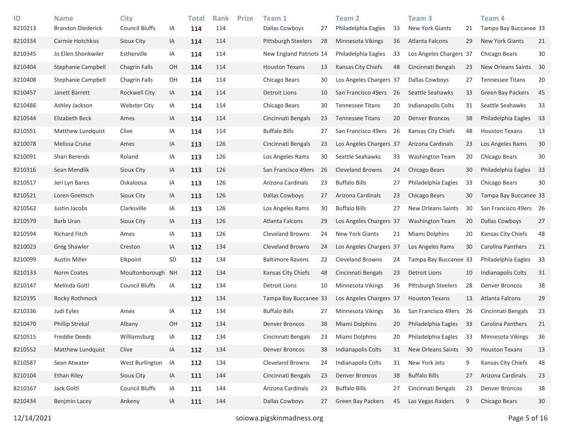| ID<br>8210213 | <b>Name</b><br><b>Brandon Diederick</b> | <b>City</b><br><b>Council Bluffs</b> | IA        | <b>Total</b><br>114 | <b>Rank</b><br>114 | <b>Prize</b> | Team 1<br>Dallas Cowboys   | 27 | Team 2<br>Philadelphia Eagles | 33 | Team <sub>3</sub><br><b>New York Giants</b> | 21 | Team 4<br>Tampa Bay Buccanee 33 |        |
|---------------|-----------------------------------------|--------------------------------------|-----------|---------------------|--------------------|--------------|----------------------------|----|-------------------------------|----|---------------------------------------------|----|---------------------------------|--------|
| 8210334       | Carmie Hotchkiss                        | Sioux City                           | IA        | 114                 | 114                |              | <b>Pittsburgh Steelers</b> | 28 | Minnesota Vikings             | 36 | Atlanta Falcons                             | 29 | <b>New York Giants</b>          | 21     |
| 8210345       | Jo Ellen Shonkwiler                     | Estherville                          | IA        | 114                 | 114                |              | New England Patriots 14    |    | Philadelphia Eagles           | 33 | Los Angeles Chargers 37                     |    | Chicago Bears                   | $30\,$ |
| 8210404       | <b>Stephanie Campbell</b>               | Chagrin Falls                        | OH        | 114                 | 114                |              | <b>Houston Texans</b>      | 13 | Kansas City Chiefs            | 48 | Cincinnati Bengals                          | 23 | New Orleans Saints              | 30     |
| 8210408       | Stephanie Campbell                      | Chagrin Falls                        | OH        | 114                 | 114                |              | Chicago Bears              | 30 | Los Angeles Chargers 37       |    | Dallas Cowboys                              | 27 | <b>Tennessee Titans</b>         | 20     |
| 8210457       | Janett Barrett                          | Rockwell City                        | IA        | 114                 | 114                |              | <b>Detroit Lions</b>       | 10 | San Francisco 49ers           | 26 | Seattle Seahawks                            | 33 | Green Bay Packers               | 45     |
| 8210486       | Ashley Jackson                          | <b>Webster City</b>                  | ΙA        | 114                 | 114                |              | Chicago Bears              | 30 | <b>Tennessee Titans</b>       | 20 | Indianapolis Colts                          | 31 | Seattle Seahawks                | 33     |
| 8210544       | Elizabeth Beck                          | Ames                                 | IA        | 114                 | 114                |              | Cincinnati Bengals         | 23 | <b>Tennessee Titans</b>       | 20 | <b>Denver Broncos</b>                       | 38 | Philadelphia Eagles             | 33     |
| 8210551       | Matthew Lundquist                       | Clive                                | ΙA        | 114                 | 114                |              | <b>Buffalo Bills</b>       | 27 | San Francisco 49ers           | 26 | Kansas City Chiefs                          | 48 | <b>Houston Texans</b>           | 13     |
| 8210078       | Melissa Cruise                          | Ames                                 | IA        | 113                 | 126                |              | Cincinnati Bengals         | 23 | Los Angeles Chargers 37       |    | Arizona Cardinals                           | 23 | Los Angeles Rams                | $30$   |
| 8210091       | Shari Berends                           | Roland                               | IA        | 113                 | 126                |              | Los Angeles Rams           | 30 | Seattle Seahawks              | 33 | <b>Washington Team</b>                      | 20 | Chicago Bears                   | 30     |
| 8210316       | Sean Mendlik                            | Sioux City                           | IA        | 113                 | 126                |              | San Francisco 49ers        | 26 | <b>Cleveland Browns</b>       | 24 | Chicago Bears                               | 30 | Philadelphia Eagles             | 33     |
| 8210517       | Jeri Lyn Bares                          | Oskaloosa                            | ΙA        | 113                 | 126                |              | Arizona Cardinals          | 23 | <b>Buffalo Bills</b>          | 27 | Philadelphia Eagles                         | 33 | Chicago Bears                   | 30     |
| 8210521       | Loren Goettsch                          | Sioux City                           | IA        | 113                 | 126                |              | Dallas Cowboys             | 27 | Arizona Cardinals             | 23 | Chicago Bears                               | 30 | Tampa Bay Buccanee 33           |        |
| 8210562       | Justin Jacobs                           | Clarksville                          | ΙA        | 113                 | 126                |              | Los Angeles Rams           | 30 | <b>Buffalo Bills</b>          | 27 | New Orleans Saints                          | 30 | San Francisco 49ers 26          |        |
| 8210579       | <b>Barb Uran</b>                        | Sioux City                           | IA        | 113                 | 126                |              | Atlanta Falcons            | 29 | Los Angeles Chargers 37       |    | <b>Washington Team</b>                      | 20 | Dallas Cowboys                  | 27     |
| 8210594       | <b>Richard Fitch</b>                    | Ames                                 | IA        | 113                 | 126                |              | <b>Cleveland Browns</b>    | 24 | New York Giants               | 21 | Miami Dolphins                              | 20 | Kansas City Chiefs              | 48     |
| 8210023       | <b>Greg Shawler</b>                     | Creston                              | IA        | 112                 | 134                |              | <b>Cleveland Browns</b>    | 24 | Los Angeles Chargers 37       |    | Los Angeles Rams                            | 30 | Carolina Panthers               | 21     |
| 8210099       | <b>Austin Miller</b>                    | Elkpoint                             | SD        | 112                 | 134                |              | <b>Baltimore Ravens</b>    | 22 | <b>Cleveland Browns</b>       | 24 | Tampa Bay Buccanee 33                       |    | Philadelphia Eagles             | 33     |
| 8210133       | Norm Coates                             | Moultonborough                       | <b>NH</b> | 112                 | 134                |              | Kansas City Chiefs         | 48 | Cincinnati Bengals            | 23 | <b>Detroit Lions</b>                        | 10 | Indianapolis Colts              | 31     |
| 8210147       | Melinda Goltl                           | <b>Council Bluffs</b>                | IA        | 112                 | 134                |              | Detroit Lions              | 10 | Minnesota Vikings             | 36 | <b>Pittsburgh Steelers</b>                  | 28 | <b>Denver Broncos</b>           | 38     |
| 8210195       | Rocky Rothmock                          |                                      |           | 112                 | 134                |              | Tampa Bay Buccanee 33      |    | Los Angeles Chargers 37       |    | <b>Houston Texans</b>                       | 13 | Atlanta Falcons                 | 29     |
| 8210336       | Judi Eyles                              | Ames                                 | ΙA        | 112                 | 134                |              | <b>Buffalo Bills</b>       | 27 | Minnesota Vikings             | 36 | San Francisco 49ers                         | 26 | Cincinnati Bengals              | 23     |
| 8210470       | <b>Phillip Strekal</b>                  | Albany                               | OH        | 112                 | 134                |              | <b>Denver Broncos</b>      | 38 | Miami Dolphins                | 20 | Philadelphia Eagles                         | 33 | Carolina Panthers               | 21     |
| 8210515       | <b>Freddie Deeds</b>                    | Williamsburg                         | IA        | 112                 | 134                |              | Cincinnati Bengals         | 23 | Miami Dolphins                | 20 | Philadelphia Eagles                         | 33 | <b>Minnesota Vikings</b>        | 36     |
| 8210552       | Matthew Lundquist                       | Clive                                | IA        | 112                 | 134                |              | <b>Denver Broncos</b>      | 38 | Indianapolis Colts            | 31 | New Orleans Saints                          | 30 | <b>Houston Texans</b>           | 13     |
| 8210587       | Sean Atwater                            | West Burlington                      | IA        | 112                 | 134                |              | Cleveland Browns           | 24 | Indianapolis Colts            | 31 | New York Jets                               | 9  | Kansas City Chiefs              | 48     |
| 8210104       | Ethan Riley                             | Sioux City                           | IA        | 111                 | 144                |              | Cincinnati Bengals         | 23 | Denver Broncos                | 38 | <b>Buffalo Bills</b>                        | 27 | Arizona Cardinals               | 23     |
| 8210167       | Jack Goltl                              | <b>Council Bluffs</b>                | IA        | 111                 | 144                |              | Arizona Cardinals          | 23 | <b>Buffalo Bills</b>          | 27 | Cincinnati Bengals                          | 23 | <b>Denver Broncos</b>           | 38     |
| 8210434       | <b>Benjmin Lacey</b>                    | Ankeny                               | IA        | 111                 | 144                |              | Dallas Cowboys             | 27 | Green Bay Packers             | 45 | Las Vegas Raiders                           | 9  | Chicago Bears                   | 30     |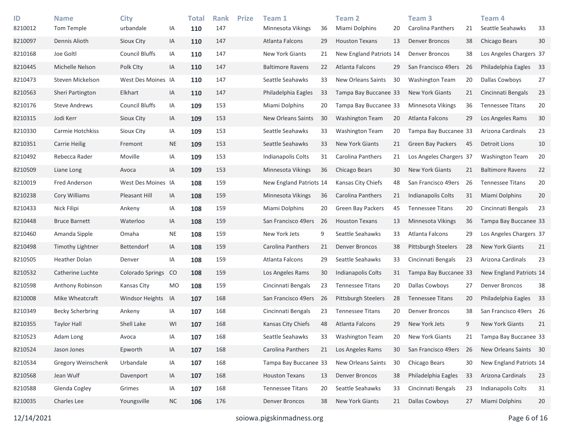| ID<br>8210012 | <b>Name</b><br>Tom Temple | <b>City</b><br>urbandale | IA        | <b>Total</b><br>110 | <b>Rank</b><br>147 | <b>Prize</b> | Team 1<br>Minnesota Vikings | 36  | <b>Team 2</b><br>Miami Dolphins | 20 | Team <sub>3</sub><br>Carolina Panthers | 21 | Team <sub>4</sub><br>Seattle Seahawks | 33 |
|---------------|---------------------------|--------------------------|-----------|---------------------|--------------------|--------------|-----------------------------|-----|---------------------------------|----|----------------------------------------|----|---------------------------------------|----|
| 8210097       | Dennis Alioth             | Sioux City               | IA        | 110                 | 147                |              | Atlanta Falcons             | 29  | <b>Houston Texans</b>           | 13 | <b>Denver Broncos</b>                  | 38 | Chicago Bears                         | 30 |
| 8210168       | Joe Goltl                 | <b>Council Bluffs</b>    | IA        | 110                 | 147                |              | New York Giants             | 21  | New England Patriots 14         |    | <b>Denver Broncos</b>                  | 38 | Los Angeles Chargers 37               |    |
| 8210445       | Michelle Nelson           | Polk City                | IA        | 110                 | 147                |              | <b>Baltimore Ravens</b>     | 22  | Atlanta Falcons                 | 29 | San Francisco 49ers                    | 26 | Philadelphia Eagles                   | 33 |
| 8210473       | Steven Mickelson          | West Des Moines IA       |           | 110                 | 147                |              | Seattle Seahawks            | 33  | <b>New Orleans Saints</b>       | 30 | <b>Washington Team</b>                 | 20 | <b>Dallas Cowboys</b>                 | 27 |
| 8210563       | Sheri Partington          | Elkhart                  | IA        | 110                 | 147                |              | Philadelphia Eagles         | 33  | Tampa Bay Buccanee 33           |    | <b>New York Giants</b>                 | 21 | Cincinnati Bengals                    | 23 |
| 8210176       | <b>Steve Andrews</b>      | <b>Council Bluffs</b>    | IA        | 109                 | 153                |              | Miami Dolphins              | 20  | Tampa Bay Buccanee 33           |    | Minnesota Vikings                      | 36 | Tennessee Titans                      | 20 |
| 8210315       | Jodi Kerr                 | Sioux City               | IA        | 109                 | 153                |              | New Orleans Saints          | 30  | <b>Washington Team</b>          | 20 | Atlanta Falcons                        | 29 | Los Angeles Rams                      | 30 |
| 8210330       | Carmie Hotchkiss          | Sioux City               | IA        | 109                 | 153                |              | Seattle Seahawks            | 33  | <b>Washington Team</b>          | 20 | Tampa Bay Buccanee 33                  |    | Arizona Cardinals                     | 23 |
| 8210351       | <b>Carrie Heilig</b>      | Fremont                  | <b>NE</b> | 109                 | 153                |              | Seattle Seahawks            | 33  | <b>New York Giants</b>          | 21 | Green Bay Packers                      | 45 | <b>Detroit Lions</b>                  | 10 |
| 8210492       | Rebecca Rader             | Moville                  | IA        | 109                 | 153                |              | Indianapolis Colts          | 31  | Carolina Panthers               | 21 | Los Angeles Chargers 37                |    | Washington Team                       | 20 |
| 8210509       | Liane Long                | Avoca                    | IA        | 109                 | 153                |              | Minnesota Vikings           | 36  | Chicago Bears                   | 30 | <b>New York Giants</b>                 | 21 | <b>Baltimore Ravens</b>               | 22 |
| 8210019       | Fred Anderson             | West Des Moines IA       |           | 108                 | 159                |              | New England Patriots 14     |     | Kansas City Chiefs              | 48 | San Francisco 49ers                    | 26 | <b>Tennessee Titans</b>               | 20 |
| 8210238       | Cory Williams             | Pleasant Hill            | IA        | 108                 | 159                |              | Minnesota Vikings           | 36  | Carolina Panthers               | 21 | Indianapolis Colts                     | 31 | Miami Dolphins                        | 20 |
| 8210433       | Nick Filipi               | Ankeny                   | IA        | 108                 | 159                |              | Miami Dolphins              | 20  | <b>Green Bay Packers</b>        | 45 | <b>Tennessee Titans</b>                | 20 | Cincinnati Bengals                    | 23 |
| 8210448       | <b>Bruce Barnett</b>      | Waterloo                 | IA        | 108                 | 159                |              | San Francisco 49ers         | -26 | <b>Houston Texans</b>           | 13 | Minnesota Vikings                      | 36 | Tampa Bay Buccanee 33                 |    |
| 8210460       | Amanda Sipple             | Omaha                    | <b>NE</b> | 108                 | 159                |              | New York Jets               | 9   | Seattle Seahawks                | 33 | Atlanta Falcons                        | 29 | Los Angeles Chargers 37               |    |
| 8210498       | Timothy Lightner          | <b>Bettendorf</b>        | IA        | 108                 | 159                |              | Carolina Panthers           | 21  | <b>Denver Broncos</b>           | 38 | Pittsburgh Steelers                    | 28 | <b>New York Giants</b>                | 21 |
| 8210505       | Heather Dolan             | Denver                   | IA        | 108                 | 159                |              | Atlanta Falcons             | 29  | Seattle Seahawks                | 33 | Cincinnati Bengals                     | 23 | Arizona Cardinals                     | 23 |
| 8210532       | Catherine Luchte          | <b>Colorado Springs</b>  | CO        | 108                 | 159                |              | Los Angeles Rams            | 30  | Indianapolis Colts              | 31 | Tampa Bay Buccanee 33                  |    | New England Patriots 14               |    |
| 8210598       | Anthony Robinson          | Kansas City              | <b>MO</b> | 108                 | 159                |              | Cincinnati Bengals          | 23  | <b>Tennessee Titans</b>         | 20 | Dallas Cowboys                         | 27 | <b>Denver Broncos</b>                 | 38 |
| 8210008       | Mike Wheatcraft           | <b>Windsor Heights</b>   | IA        | 107                 | 168                |              | San Francisco 49ers         | -26 | Pittsburgh Steelers             | 28 | <b>Tennessee Titans</b>                | 20 | Philadelphia Eagles                   | 33 |
| 8210349       | <b>Becky Scherbring</b>   | Ankeny                   | IA        | 107                 | 168                |              | Cincinnati Bengals          | 23  | <b>Tennessee Titans</b>         | 20 | <b>Denver Broncos</b>                  | 38 | San Francisco 49ers 26                |    |
| 8210355       | Taylor Hall               | Shell Lake               | WI        | 107                 | 168                |              | Kansas City Chiefs          | 48  | Atlanta Falcons                 | 29 | New York Jets                          | 9  | <b>New York Giants</b>                | 21 |
| 8210523       | Adam Long                 | Avoca                    | IA        | 107                 | 168                |              | Seattle Seahawks            | 33  | <b>Washington Team</b>          | 20 | New York Giants                        | 21 | Tampa Bay Buccanee 33                 |    |
| 8210524       | Jason Jones               | Epworth                  | IA        | 107                 | 168                |              | Carolina Panthers           | 21  | Los Angeles Rams                | 30 | San Francisco 49ers                    | 26 | New Orleans Saints 30                 |    |
| 8210534       | Gregory Weinschenk        | Urbandale                | IA        | 107                 | 168                |              | Tampa Bay Buccanee 33       |     | New Orleans Saints              | 30 | Chicago Bears                          | 30 | New England Patriots 14               |    |
| 8210568       | Jean Wulf                 | Davenport                | IA        | 107                 | 168                |              | <b>Houston Texans</b>       | 13  | Denver Broncos                  | 38 | Philadelphia Eagles                    | 33 | Arizona Cardinals                     | 23 |
| 8210588       | Glenda Cogley             | Grimes                   | IA        | 107                 | 168                |              | <b>Tennessee Titans</b>     | 20  | Seattle Seahawks                | 33 | Cincinnati Bengals                     | 23 | Indianapolis Colts                    | 31 |
| 8210035       | Charles Lee               | Youngsville              | <b>NC</b> | 106                 | 176                |              | <b>Denver Broncos</b>       | 38  | New York Giants                 | 21 | Dallas Cowboys                         | 27 | Miami Dolphins                        | 20 |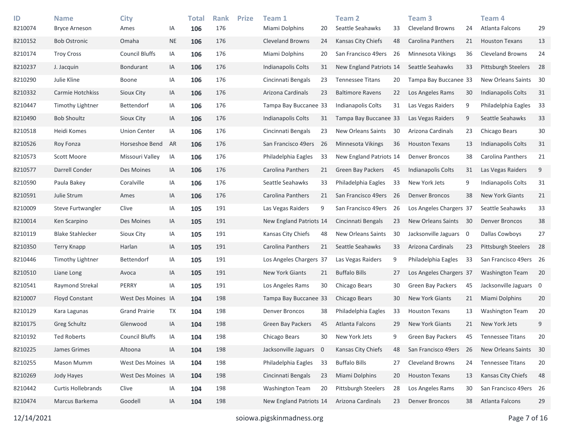| ID<br>8210074 | <b>Name</b><br><b>Bryce Arneson</b> | <b>City</b><br>Ames   | IA        | <b>Total</b><br>106 | <b>Rank</b><br>176 | <b>Prize</b> | Team 1<br>Miami Dolphins  | 20  | <b>Team 2</b><br>Seattle Seahawks | 33  | Team <sub>3</sub><br><b>Cleveland Browns</b> | 24                      | Team <sub>4</sub><br>Atlanta Falcons | 29     |
|---------------|-------------------------------------|-----------------------|-----------|---------------------|--------------------|--------------|---------------------------|-----|-----------------------------------|-----|----------------------------------------------|-------------------------|--------------------------------------|--------|
| 8210152       | <b>Bob Ostronic</b>                 | Omaha                 | <b>NE</b> | 106                 | 176                |              | <b>Cleveland Browns</b>   | 24  | Kansas City Chiefs                | 48  | Carolina Panthers                            | 21                      | <b>Houston Texans</b>                | 13     |
| 8210174       | <b>Troy Cross</b>                   | <b>Council Bluffs</b> | IA        | 106                 | 176                |              | Miami Dolphins            | 20  | San Francisco 49ers 26            |     | Minnesota Vikings                            | 36                      | <b>Cleveland Browns</b>              | 24     |
| 8210237       | J. Jacquin                          | Bondurant             | IA        | 106                 | 176                |              | <b>Indianapolis Colts</b> | 31  | New England Patriots 14           |     | Seattle Seahawks                             | 33                      | <b>Pittsburgh Steelers</b>           | 28     |
| 8210290       | Julie Kline                         | Boone                 | IA        | 106                 | 176                |              | Cincinnati Bengals        | 23  | <b>Tennessee Titans</b>           | 20  | Tampa Bay Buccanee 33                        |                         | New Orleans Saints                   | 30     |
| 8210332       | Carmie Hotchkiss                    | Sioux City            | IA        | 106                 | 176                |              | Arizona Cardinals         | 23  | <b>Baltimore Ravens</b>           | 22  | Los Angeles Rams                             | 30                      | Indianapolis Colts                   | 31     |
| 8210447       | Timothy Lightner                    | <b>Bettendorf</b>     | IA        | 106                 | 176                |              | Tampa Bay Buccanee 33     |     | Indianapolis Colts                | 31  | Las Vegas Raiders                            | 9                       | Philadelphia Eagles                  | 33     |
| 8210490       | <b>Bob Shoultz</b>                  | Sioux City            | IA        | 106                 | 176                |              | Indianapolis Colts        | 31  | Tampa Bay Buccanee 33             |     | Las Vegas Raiders                            | 9                       | Seattle Seahawks                     | 33     |
| 8210518       | Heidi Komes                         | <b>Union Center</b>   | ΙA        | 106                 | 176                |              | Cincinnati Bengals        | 23  | New Orleans Saints                | 30  | Arizona Cardinals                            | 23                      | Chicago Bears                        | $30\,$ |
| 8210526       | Roy Fonza                           | Horseshoe Bend        | AR        | 106                 | 176                |              | San Francisco 49ers       | -26 | Minnesota Vikings                 | 36  | <b>Houston Texans</b>                        | 13                      | Indianapolis Colts                   | 31     |
| 8210573       | Scott Moore                         | Missouri Valley       | IA        | 106                 | 176                |              | Philadelphia Eagles       | 33  | New England Patriots 14           |     | <b>Denver Broncos</b>                        | 38                      | Carolina Panthers                    | 21     |
| 8210577       | Darrell Conder                      | Des Moines            | IA        | 106                 | 176                |              | Carolina Panthers         | 21  | <b>Green Bay Packers</b>          | 45  | Indianapolis Colts                           | 31                      | Las Vegas Raiders                    | 9      |
| 8210590       | Paula Bakey                         | Coralville            | IA        | 106                 | 176                |              | Seattle Seahawks          | 33  | Philadelphia Eagles               | 33  | New York Jets                                | 9                       | Indianapolis Colts                   | 31     |
| 8210591       | Julie Strum                         | Ames                  | IA        | 106                 | 176                |              | Carolina Panthers         | 21  | San Francisco 49ers               | -26 | <b>Denver Broncos</b>                        | 38                      | <b>New York Giants</b>               | 21     |
| 8210009       | Steve Furtwangler                   | Clive                 | IA        | 105                 | 191                |              | Las Vegas Raiders         | 9   | San Francisco 49ers               | 26  | Los Angeles Chargers 37                      |                         | Seattle Seahawks                     | 33     |
| 8210014       | Ken Scarpino                        | Des Moines            | IA        | 105                 | 191                |              | New England Patriots 14   |     | Cincinnati Bengals                | 23  | New Orleans Saints                           | -30                     | Denver Broncos                       | 38     |
| 8210119       | <b>Blake Stahlecker</b>             | Sioux City            | ΙA        | 105                 | 191                |              | Kansas City Chiefs        | 48  | <b>New Orleans Saints</b>         | 30  | Jacksonville Jaguars                         | $\overline{\mathbf{0}}$ | <b>Dallas Cowboys</b>                | 27     |
| 8210350       | Terry Knapp                         | Harlan                | IA        | 105                 | 191                |              | Carolina Panthers         | 21  | Seattle Seahawks                  | 33  | Arizona Cardinals                            | 23                      | <b>Pittsburgh Steelers</b>           | 28     |
| 8210446       | Timothy Lightner                    | <b>Bettendorf</b>     | IA        | 105                 | 191                |              | Los Angeles Chargers 37   |     | Las Vegas Raiders                 | 9   | Philadelphia Eagles                          | 33                      | San Francisco 49ers 26               |        |
| 8210510       | Liane Long                          | Avoca                 | IA        | 105                 | 191                |              | New York Giants           | 21  | <b>Buffalo Bills</b>              | 27  | Los Angeles Chargers 37                      |                         | <b>Washington Team</b>               | 20     |
| 8210541       | Raymond Strekal                     | PERRY                 | IA        | 105                 | 191                |              | Los Angeles Rams          | 30  | Chicago Bears                     | 30  | Green Bay Packers                            | 45                      | Jacksonville Jaguars 0               |        |
| 8210007       | <b>Floyd Constant</b>               | West Des Moines IA    |           | 104                 | 198                |              | Tampa Bay Buccanee 33     |     | Chicago Bears                     | 30  | New York Giants                              | 21                      | Miami Dolphins                       | 20     |
| 8210129       | Kara Lagunas                        | <b>Grand Prairie</b>  | TX        | 104                 | 198                |              | <b>Denver Broncos</b>     | 38  | Philadelphia Eagles               | 33  | <b>Houston Texans</b>                        | 13                      | <b>Washington Team</b>               | 20     |
| 8210175       | <b>Greg Schultz</b>                 | Glenwood              | IA        | 104                 | 198                |              | <b>Green Bay Packers</b>  | 45  | Atlanta Falcons                   | 29  | New York Giants                              | 21                      | New York Jets                        | 9      |
| 8210192       | <b>Ted Roberts</b>                  | <b>Council Bluffs</b> | IA        | 104                 | 198                |              | Chicago Bears             | 30  | New York Jets                     | 9   | Green Bay Packers                            | 45                      | <b>Tennessee Titans</b>              | 20     |
| 8210225       | James Grimes                        | Altoona               | IA        | 104                 | 198                |              | Jacksonville Jaguars 0    |     | Kansas City Chiefs                | 48  | San Francisco 49ers                          | 26                      | New Orleans Saints                   | 30     |
| 8210255       | Mason Mumm                          | West Des Moines IA    |           | 104                 | 198                |              | Philadelphia Eagles       | 33  | <b>Buffalo Bills</b>              | 27  | Cleveland Browns                             | 24                      | <b>Tennessee Titans</b>              | 20     |
| 8210269       | Jody Hayes                          | West Des Moines IA    |           | 104                 | 198                |              | Cincinnati Bengals        | 23  | Miami Dolphins                    | 20  | <b>Houston Texans</b>                        | 13                      | Kansas City Chiefs                   | 48     |
| 8210442       | Curtis Hollebrands                  | Clive                 | IA        | 104                 | 198                |              | <b>Washington Team</b>    | 20  | Pittsburgh Steelers               | 28  | Los Angeles Rams                             | 30                      | San Francisco 49ers 26               |        |
| 8210474       | Marcus Barkema                      | Goodell               | IA        | 104                 | 198                |              | New England Patriots 14   |     | Arizona Cardinals                 | 23  | <b>Denver Broncos</b>                        | 38                      | Atlanta Falcons                      | 29     |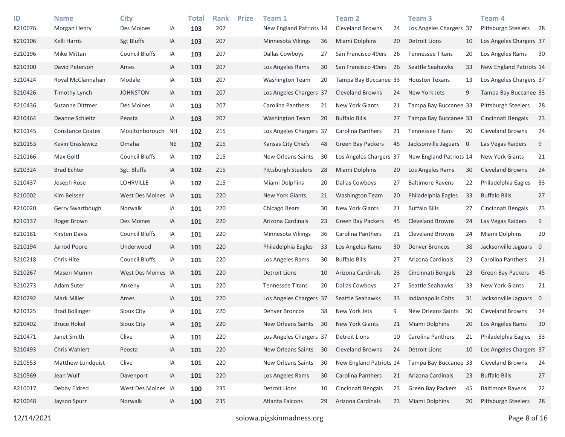| ID<br>8210076 | <b>Name</b><br>Morgan Henry | <b>City</b><br>Des Moines | IA        | <b>Total</b><br>103 | <b>Rank</b><br>207 | <b>Prize</b> | Team 1<br>New England Patriots 14 |    | Team <sub>2</sub><br><b>Cleveland Browns</b> | 24 | Team <sub>3</sub><br>Los Angeles Chargers 37 |    | Team <sub>4</sub><br>Pittsburgh Steelers | - 28 |
|---------------|-----------------------------|---------------------------|-----------|---------------------|--------------------|--------------|-----------------------------------|----|----------------------------------------------|----|----------------------------------------------|----|------------------------------------------|------|
| 8210106       | Kelli Harris                | <b>Sgt Bluffs</b>         | ΙA        | 103                 | 207                |              | Minnesota Vikings                 | 36 | Miami Dolphins                               | 20 | <b>Detroit Lions</b>                         | 10 | Los Angeles Chargers 37                  |      |
| 8210196       | Mike Mittan                 | <b>Council Bluffs</b>     | ΙA        | 103                 | 207                |              | Dallas Cowboys                    | 27 | San Francisco 49ers                          | 26 | <b>Tennessee Titans</b>                      | 20 | Los Angeles Rams                         | 30   |
| 8210300       | David Peterson              | Ames                      | ΙA        | 103                 | 207                |              | Los Angeles Rams                  | 30 | San Francisco 49ers                          | 26 | Seattle Seahawks                             | 33 | New England Patriots 14                  |      |
| 8210424       | Royal McClannahan           | Modale                    | ΙA        | 103                 | 207                |              | <b>Washington Team</b>            | 20 | Tampa Bay Buccanee 33                        |    | <b>Houston Texans</b>                        | 13 | Los Angeles Chargers 37                  |      |
| 8210426       | Timothy Lynch               | <b>JOHNSTON</b>           | IA        | 103                 | 207                |              | Los Angeles Chargers 37           |    | <b>Cleveland Browns</b>                      | 24 | New York Jets                                | 9  | Tampa Bay Buccanee 33                    |      |
| 8210436       | Suzanne Dittmer             | Des Moines                | ΙA        | 103                 | 207                |              | Carolina Panthers                 | 21 | New York Giants                              | 21 | Tampa Bay Buccanee 33                        |    | Pittsburgh Steelers                      | 28   |
| 8210464       | Deanne Schieltz             | Peosta                    | ΙA        | 103                 | 207                |              | <b>Washington Team</b>            | 20 | <b>Buffalo Bills</b>                         | 27 | Tampa Bay Buccanee 33                        |    | Cincinnati Bengals                       | 23   |
| 8210145       | <b>Constance Coates</b>     | Moultonborouch            | <b>NH</b> | 102                 | 215                |              | Los Angeles Chargers 37           |    | Carolina Panthers                            | 21 | <b>Tennessee Titans</b>                      | 20 | <b>Cleveland Browns</b>                  | 24   |
| 8210153       | Kevin Graslewicz            | Omaha                     | <b>NE</b> | 102                 | 215                |              | Kansas City Chiefs                | 48 | <b>Green Bay Packers</b>                     | 45 | Jacksonville Jaguars 0                       |    | Las Vegas Raiders                        | 9    |
| 8210166       | Max Goltl                   | <b>Council Bluffs</b>     | ΙA        | 102                 | 215                |              | New Orleans Saints                | 30 | Los Angeles Chargers 37                      |    | New England Patriots 14                      |    | New York Giants                          | 21   |
| 8210324       | <b>Brad Echter</b>          | Sgt. Bluffs               | ΙA        | 102                 | 215                |              | Pittsburgh Steelers               | 28 | Miami Dolphins                               | 20 | Los Angeles Rams                             | 30 | <b>Cleveland Browns</b>                  | 24   |
| 8210437       | Joseph Rose                 | <b>LOHRVILLE</b>          | IA        | 102                 | 215                |              | Miami Dolphins                    | 20 | Dallas Cowboys                               | 27 | <b>Baltimore Ravens</b>                      | 22 | Philadelphia Eagles                      | 33   |
| 8210002       | Kim Beisser                 | West Des Moines IA        |           | 101                 | 220                |              | New York Giants                   | 21 | <b>Washington Team</b>                       | 20 | Philadelphia Eagles                          | 33 | <b>Buffalo Bills</b>                     | 27   |
| 8210020       | Gerry Swartbough            | Norwalk                   | ΙA        | 101                 | 220                |              | Chicago Bears                     | 30 | New York Giants                              | 21 | <b>Buffalo Bills</b>                         | 27 | Cincinnati Bengals                       | 23   |
| 8210137       | Roger Brown                 | Des Moines                | ΙA        | 101                 | 220                |              | Arizona Cardinals                 | 23 | <b>Green Bay Packers</b>                     | 45 | <b>Cleveland Browns</b>                      | 24 | Las Vegas Raiders                        | 9    |
| 8210181       | Kirsten Davis               | <b>Council Bluffs</b>     | IA        | 101                 | 220                |              | Minnesota Vikings                 | 36 | Carolina Panthers                            | 21 | <b>Cleveland Browns</b>                      | 24 | Miami Dolphins                           | 20   |
| 8210194       | Jarrod Poore                | Underwood                 | ΙA        | 101                 | 220                |              | Philadelphia Eagles               | 33 | Los Angeles Rams                             | 30 | <b>Denver Broncos</b>                        | 38 | Jacksonville Jaguars 0                   |      |
| 8210218       | Chris Hite                  | <b>Council Bluffs</b>     | IA        | 101                 | 220                |              | Los Angeles Rams                  | 30 | <b>Buffalo Bills</b>                         | 27 | Arizona Cardinals                            | 23 | Carolina Panthers                        | 21   |
| 8210267       | Mason Mumm                  | West Des Moines IA        |           | 101                 | 220                |              | <b>Detroit Lions</b>              | 10 | Arizona Cardinals                            | 23 | Cincinnati Bengals                           | 23 | <b>Green Bay Packers</b>                 | 45   |
| 8210273       | Adam Suter                  | Ankeny                    | ΙA        | 101                 | 220                |              | <b>Tennessee Titans</b>           | 20 | Dallas Cowboys                               | 27 | Seattle Seahawks                             | 33 | New York Giants                          | 21   |
| 8210292       | Mark Miller                 | Ames                      | ΙA        | 101                 | 220                |              | Los Angeles Chargers 37           |    | Seattle Seahawks                             | 33 | Indianapolis Colts                           | 31 | Jacksonville Jaguars 0                   |      |
| 8210325       | <b>Brad Bollinger</b>       | Sioux City                | ΙA        | 101                 | 220                |              | <b>Denver Broncos</b>             | 38 | New York Jets                                | 9  | New Orleans Saints                           | 30 | <b>Cleveland Browns</b>                  | 24   |
| 8210402       | <b>Bruce Hokel</b>          | Sioux City                | ΙA        | 101                 | 220                |              | <b>New Orleans Saints</b>         | 30 | <b>New York Giants</b>                       | 21 | Miami Dolphins                               | 20 | Los Angeles Rams                         | 30   |
| 8210471       | Janet Smith                 | Clive                     | ΙA        | 101                 | 220                |              | Los Angeles Chargers 37           |    | Detroit Lions                                | 10 | <b>Carolina Panthers</b>                     | 21 | Philadelphia Eagles 33                   |      |
| 8210493       | Chris Wahlert               | Peosta                    | ΙA        | 101                 | 220                |              | New Orleans Saints                | 30 | <b>Cleveland Browns</b>                      | 24 | Detroit Lions                                | 10 | Los Angeles Chargers 37                  |      |
| 8210553       | Matthew Lundquist           | Clive                     | ΙA        | 101                 | 220                |              | New Orleans Saints                | 30 | New England Patriots 14                      |    | Tampa Bay Buccanee 33                        |    | <b>Cleveland Browns</b>                  | 24   |
| 8210569       | Jean Wulf                   | Davenport                 | IA        | 101                 | 220                |              | Los Angeles Rams                  | 30 | Carolina Panthers                            | 21 | Arizona Cardinals                            | 23 | <b>Buffalo Bills</b>                     | 27   |
| 8210017       | Debby Eldred                | West Des Moines IA        |           | 100                 | 235                |              | Detroit Lions                     | 10 | Cincinnati Bengals                           | 23 | Green Bay Packers                            | 45 | <b>Baltimore Ravens</b>                  | 22   |
| 8210048       | Jayson Spurr                | Norwalk                   | ΙA        | 100                 | 235                |              | Atlanta Falcons                   | 29 | Arizona Cardinals                            | 23 | Miami Dolphins                               | 20 | Pittsburgh Steelers                      | 28   |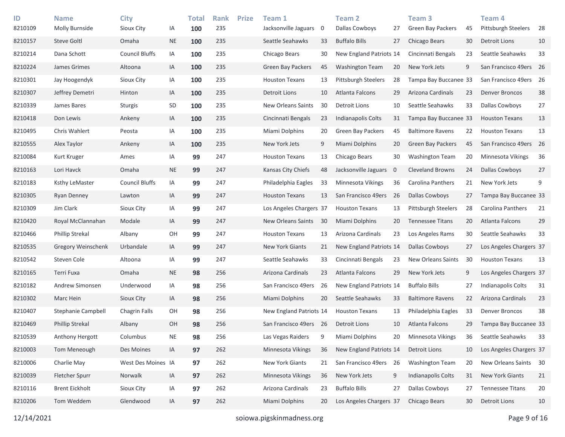| ID<br>8210109 | <b>Name</b><br><b>Molly Burnside</b> | <b>City</b><br>Sioux City | IA        | <b>Total</b><br>100 | <b>Rank</b><br>235 | <b>Prize</b> | Team 1<br>Jacksonville Jaguars | 0  | <b>Team 2</b><br>Dallas Cowboys | 27                       | Team <sub>3</sub><br><b>Green Bay Packers</b> | 45 | Team <sub>4</sub><br>Pittsburgh Steelers | 28 |
|---------------|--------------------------------------|---------------------------|-----------|---------------------|--------------------|--------------|--------------------------------|----|---------------------------------|--------------------------|-----------------------------------------------|----|------------------------------------------|----|
| 8210157       | <b>Steve Goltl</b>                   | Omaha                     | <b>NE</b> | 100                 | 235                |              | Seattle Seahawks               | 33 | <b>Buffalo Bills</b>            | 27                       | Chicago Bears                                 | 30 | <b>Detroit Lions</b>                     | 10 |
| 8210214       | Dana Schott                          | <b>Council Bluffs</b>     | IA        | 100                 | 235                |              | Chicago Bears                  | 30 | New England Patriots 14         |                          | Cincinnati Bengals                            | 23 | Seattle Seahawks                         | 33 |
| 8210224       | James Grimes                         | Altoona                   | IA        | 100                 | 235                |              | <b>Green Bay Packers</b>       | 45 | <b>Washington Team</b>          | 20                       | New York Jets                                 | 9  | San Francisco 49ers 26                   |    |
| 8210301       | Jay Hoogendyk                        | Sioux City                | IA        | 100                 | 235                |              | <b>Houston Texans</b>          | 13 | <b>Pittsburgh Steelers</b>      | 28                       | Tampa Bay Buccanee 33                         |    | San Francisco 49ers 26                   |    |
| 8210307       | Jeffrey Demetri                      | Hinton                    | IA        | 100                 | 235                |              | Detroit Lions                  | 10 | Atlanta Falcons                 | 29                       | Arizona Cardinals                             | 23 | <b>Denver Broncos</b>                    | 38 |
| 8210339       | James Bares                          | <b>Sturgis</b>            | SD        | 100                 | 235                |              | <b>New Orleans Saints</b>      | 30 | Detroit Lions                   | 10                       | Seattle Seahawks                              | 33 | <b>Dallas Cowboys</b>                    | 27 |
| 8210418       | Don Lewis                            | Ankeny                    | IA        | 100                 | 235                |              | Cincinnati Bengals             | 23 | Indianapolis Colts              | 31                       | Tampa Bay Buccanee 33                         |    | <b>Houston Texans</b>                    | 13 |
| 8210495       | Chris Wahlert                        | Peosta                    | IA        | 100                 | 235                |              | Miami Dolphins                 | 20 | <b>Green Bay Packers</b>        | 45                       | <b>Baltimore Ravens</b>                       | 22 | <b>Houston Texans</b>                    | 13 |
| 8210555       | Alex Taylor                          | Ankeny                    | IA        | 100                 | 235                |              | New York Jets                  | 9  | Miami Dolphins                  | 20                       | <b>Green Bay Packers</b>                      | 45 | San Francisco 49ers 26                   |    |
| 8210084       | Kurt Kruger                          | Ames                      | IA        | 99                  | 247                |              | <b>Houston Texans</b>          | 13 | Chicago Bears                   | 30                       | <b>Washington Team</b>                        | 20 | <b>Minnesota Vikings</b>                 | 36 |
| 8210163       | Lori Havck                           | Omaha                     | <b>NE</b> | 99                  | 247                |              | Kansas City Chiefs             | 48 | Jacksonville Jaguars            | $\overline{\phantom{0}}$ | <b>Cleveland Browns</b>                       | 24 | Dallas Cowboys                           | 27 |
| 8210183       | Ksthy LeMaster                       | <b>Council Bluffs</b>     | IA        | 99                  | 247                |              | Philadelphia Eagles            | 33 | Minnesota Vikings               | 36                       | <b>Carolina Panthers</b>                      | 21 | New York Jets                            | 9  |
| 8210305       | <b>Ryan Denney</b>                   | Lawton                    | IA        | 99                  | 247                |              | <b>Houston Texans</b>          | 13 | San Francisco 49ers             | - 26                     | <b>Dallas Cowboys</b>                         | 27 | Tampa Bay Buccanee 33                    |    |
| 8210309       | Jim Clark                            | Sioux City                | IA        | 99                  | 247                |              | Los Angeles Chargers 37        |    | <b>Houston Texans</b>           | 13                       | <b>Pittsburgh Steelers</b>                    | 28 | Carolina Panthers                        | 21 |
| 8210420       | Royal McClannahan                    | Modale                    | IA        | 99                  | 247                |              | New Orleans Saints             | 30 | Miami Dolphins                  | 20                       | <b>Tennessee Titans</b>                       | 20 | Atlanta Falcons                          | 29 |
| 8210466       | Phillip Strekal                      | Albany                    | OH        | 99                  | 247                |              | <b>Houston Texans</b>          | 13 | Arizona Cardinals               | 23                       | Los Angeles Rams                              | 30 | Seattle Seahawks                         | 33 |
| 8210535       | Gregory Weinschenk                   | Urbandale                 | IA        | 99                  | 247                |              | <b>New York Giants</b>         | 21 | New England Patriots 14         |                          | <b>Dallas Cowboys</b>                         | 27 | Los Angeles Chargers 37                  |    |
| 8210542       | Steven Cole                          | Altoona                   | IA        | 99                  | 247                |              | Seattle Seahawks               | 33 | Cincinnati Bengals              | 23                       | New Orleans Saints                            | 30 | <b>Houston Texans</b>                    | 13 |
| 8210165       | Terri Fuxa                           | Omaha                     | <b>NE</b> | 98                  | 256                |              | Arizona Cardinals              | 23 | Atlanta Falcons                 | 29                       | New York Jets                                 | 9  | Los Angeles Chargers 37                  |    |
| 8210182       | Andrew Simonsen                      | Underwood                 | IA        | 98                  | 256                |              | San Francisco 49ers            | 26 | New England Patriots 14         |                          | <b>Buffalo Bills</b>                          | 27 | Indianapolis Colts                       | 31 |
| 8210302       | Marc Hein                            | Sioux City                | IA        | 98                  | 256                |              | Miami Dolphins                 | 20 | Seattle Seahawks                | 33                       | <b>Baltimore Ravens</b>                       | 22 | Arizona Cardinals                        | 23 |
| 8210407       | Stephanie Campbell                   | Chagrin Falls             | OH        | 98                  | 256                |              | New England Patriots 14        |    | <b>Houston Texans</b>           | 13                       | Philadelphia Eagles                           | 33 | <b>Denver Broncos</b>                    | 38 |
| 8210469       | <b>Phillip Strekal</b>               | Albany                    | OH        | 98                  | 256                |              | San Francisco 49ers 26         |    | Detroit Lions                   | 10                       | Atlanta Falcons                               | 29 | Tampa Bay Buccanee 33                    |    |
| 8210539       | Anthony Hergott                      | Columbus                  | <b>NE</b> | 98                  | 256                |              | Las Vegas Raiders              | 9  | Miami Dolphins                  | 20                       | Minnesota Vikings                             | 36 | Seattle Seahawks                         | 33 |
| 8210003       | Tom Meneough                         | Des Moines                | IA        | 97                  | 262                |              | Minnesota Vikings              | 36 | New England Patriots 14         |                          | <b>Detroit Lions</b>                          | 10 | Los Angeles Chargers 37                  |    |
| 8210006       | Charlie May                          | West Des Moines IA        |           | 97                  | 262                |              | New York Giants                | 21 | San Francisco 49ers 26          |                          | <b>Washington Team</b>                        | 20 | New Orleans Saints 30                    |    |
| 8210039       | Fletcher Spurr                       | Norwalk                   | $\sf IA$  | 97                  | 262                |              | Minnesota Vikings              | 36 | New York Jets                   | 9                        | Indianapolis Colts                            | 31 | New York Giants                          | 21 |
| 8210116       | <b>Brent Eickholt</b>                | Sioux City                | IA        | 97                  | 262                |              | Arizona Cardinals              | 23 | <b>Buffalo Bills</b>            | 27                       | Dallas Cowboys                                | 27 | <b>Tennessee Titans</b>                  | 20 |
| 8210206       | Tom Weddem                           | Glendwood                 | IA        | 97                  | 262                |              | Miami Dolphins                 | 20 | Los Angeles Chargers 37         |                          | Chicago Bears                                 | 30 | <b>Detroit Lions</b>                     | 10 |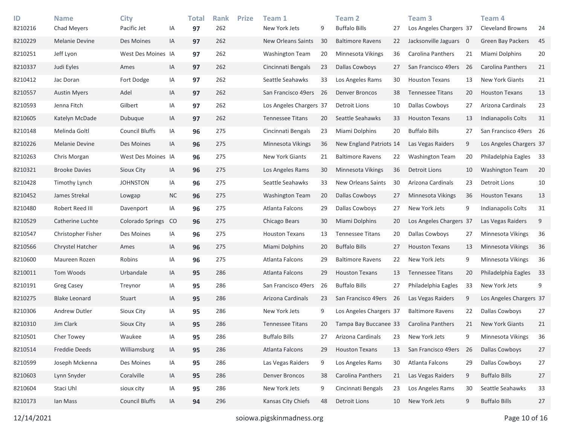| ID<br>8210216 | <b>Name</b><br>Chad Meyers | <b>City</b><br>Pacific Jet | IA        | Total<br>97 | <b>Rank</b><br>262 | <b>Prize</b> | Team 1<br>New York Jets   | 9   | <b>Team 2</b><br><b>Buffalo Bills</b> | 27 | Team <sub>3</sub><br>Los Angeles Chargers 37 |     | Team 4<br><b>Cleveland Browns</b> | 24 |
|---------------|----------------------------|----------------------------|-----------|-------------|--------------------|--------------|---------------------------|-----|---------------------------------------|----|----------------------------------------------|-----|-----------------------------------|----|
| 8210229       | <b>Melanie Devine</b>      | Des Moines                 | IA        | 97          | 262                |              | <b>New Orleans Saints</b> | 30  | <b>Baltimore Ravens</b>               | 22 | Jacksonville Jaguars 0                       |     | <b>Green Bay Packers</b>          | 45 |
| 8210251       | Jeff Lyon                  | West Des Moines IA         |           | 97          | 262                |              | <b>Washington Team</b>    | 20  | <b>Minnesota Vikings</b>              | 36 | Carolina Panthers                            | 21  | Miami Dolphins                    | 20 |
| 8210337       | Judi Eyles                 | Ames                       | IA        | 97          | 262                |              | Cincinnati Bengals        | 23  | <b>Dallas Cowboys</b>                 | 27 | San Francisco 49ers                          | 26  | Carolina Panthers                 | 21 |
| 8210412       | Jac Doran                  | Fort Dodge                 | IA        | 97          | 262                |              | Seattle Seahawks          | 33  | Los Angeles Rams                      | 30 | <b>Houston Texans</b>                        | 13  | New York Giants                   | 21 |
| 8210557       | <b>Austin Myers</b>        | Adel                       | IA        | 97          | 262                |              | San Francisco 49ers       | -26 | <b>Denver Broncos</b>                 | 38 | <b>Tennessee Titans</b>                      | 20  | <b>Houston Texans</b>             | 13 |
| 8210593       | Jenna Fitch                | Gilbert                    | IA        | 97          | 262                |              | Los Angeles Chargers 37   |     | Detroit Lions                         | 10 | Dallas Cowboys                               | 27  | Arizona Cardinals                 | 23 |
| 8210605       | Katelyn McDade             | Dubuque                    | ΙA        | 97          | 262                |              | <b>Tennessee Titans</b>   | 20  | Seattle Seahawks                      | 33 | <b>Houston Texans</b>                        | 13  | Indianapolis Colts                | 31 |
| 8210148       | Melinda Goltl              | <b>Council Bluffs</b>      | IA        | 96          | 275                |              | Cincinnati Bengals        | 23  | Miami Dolphins                        | 20 | <b>Buffalo Bills</b>                         | 27  | San Francisco 49ers 26            |    |
| 8210226       | <b>Melanie Devine</b>      | Des Moines                 | IA        | 96          | 275                |              | Minnesota Vikings         | 36  | New England Patriots 14               |    | Las Vegas Raiders                            | 9   | Los Angeles Chargers 37           |    |
| 8210263       | Chris Morgan               | West Des Moines IA         |           | 96          | 275                |              | New York Giants           | 21  | <b>Baltimore Ravens</b>               | 22 | <b>Washington Team</b>                       | 20  | Philadelphia Eagles               | 33 |
| 8210321       | <b>Brooke Davies</b>       | Sioux City                 | ΙA        | 96          | 275                |              | Los Angeles Rams          | 30  | Minnesota Vikings                     | 36 | Detroit Lions                                | 10  | <b>Washington Team</b>            | 20 |
| 8210428       | <b>Timothy Lynch</b>       | <b>JOHNSTON</b>            | IA        | 96          | 275                |              | Seattle Seahawks          | 33  | New Orleans Saints                    | 30 | Arizona Cardinals                            | 23  | <b>Detroit Lions</b>              | 10 |
| 8210452       | James Strekal              | Lowgap                     | <b>NC</b> | 96          | 275                |              | <b>Washington Team</b>    | 20  | <b>Dallas Cowboys</b>                 | 27 | Minnesota Vikings                            | 36  | <b>Houston Texans</b>             | 13 |
| 8210480       | Robert Reed III            | Davenport                  | IA        | 96          | 275                |              | Atlanta Falcons           | 29  | <b>Dallas Cowboys</b>                 | 27 | New York Jets                                | 9   | Indianapolis Colts                | 31 |
| 8210529       | Catherine Luchte           | Colorado Springs           | CO        | 96          | 275                |              | Chicago Bears             | 30  | <b>Miami Dolphins</b>                 | 20 | Los Angeles Chargers 37                      |     | Las Vegas Raiders                 | 9  |
| 8210547       | Christopher Fisher         | Des Moines                 | IA        | 96          | 275                |              | <b>Houston Texans</b>     | 13  | <b>Tennessee Titans</b>               | 20 | <b>Dallas Cowboys</b>                        | 27  | Minnesota Vikings                 | 36 |
| 8210566       | Chrystel Hatcher           | Ames                       | IA        | 96          | 275                |              | Miami Dolphins            | 20  | <b>Buffalo Bills</b>                  | 27 | <b>Houston Texans</b>                        | 13  | <b>Minnesota Vikings</b>          | 36 |
| 8210600       | Maureen Rozen              | Robins                     | IA        | 96          | 275                |              | Atlanta Falcons           | 29  | <b>Baltimore Ravens</b>               | 22 | New York Jets                                | 9   | Minnesota Vikings                 | 36 |
| 8210011       | Tom Woods                  | Urbandale                  | IA        | 95          | 286                |              | Atlanta Falcons           | 29  | <b>Houston Texans</b>                 | 13 | <b>Tennessee Titans</b>                      | 20  | Philadelphia Eagles               | 33 |
| 8210191       | Greg Casey                 | Treynor                    | IA        | 95          | 286                |              | San Francisco 49ers       | 26  | <b>Buffalo Bills</b>                  | 27 | Philadelphia Eagles                          | 33  | New York Jets                     | 9  |
| 8210275       | <b>Blake Leonard</b>       | Stuart                     | IA        | 95          | 286                |              | Arizona Cardinals         | 23  | San Francisco 49ers 26                |    | Las Vegas Raiders                            | 9   | Los Angeles Chargers 37           |    |
| 8210306       | Andrew Dutler              | Sioux City                 | IA        | 95          | 286                |              | New York Jets             | 9   | Los Angeles Chargers 37               |    | <b>Baltimore Ravens</b>                      | 22  | Dallas Cowboys                    | 27 |
| 8210310       | Jim Clark                  | Sioux City                 | IA        | 95          | 286                |              | <b>Tennessee Titans</b>   | 20  | Tampa Bay Buccanee 33                 |    | Carolina Panthers                            | 21  | <b>New York Giants</b>            | 21 |
| 8210501       | Cher Towey                 | Waukee                     | IA        | 95          | 286                |              | <b>Buffalo Bills</b>      | 27  | Arizona Cardinals                     | 23 | New York Jets                                | 9   | Minnesota Vikings                 | 36 |
| 8210514       | Freddie Deeds              | Williamsburg               | $\sf IA$  | 95          | 286                |              | Atlanta Falcons           | 29  | <b>Houston Texans</b>                 | 13 | San Francisco 49ers                          | -26 | Dallas Cowboys                    | 27 |
| 8210599       | Joseph Mckenna             | Des Moines                 | IA        | 95          | 286                |              | Las Vegas Raiders         | 9   | Los Angeles Rams                      | 30 | Atlanta Falcons                              | 29  | Dallas Cowboys                    | 27 |
| 8210603       | Lynn Snyder                | Coralville                 | IA        | 95          | 286                |              | <b>Denver Broncos</b>     | 38  | Carolina Panthers                     | 21 | Las Vegas Raiders                            | 9   | <b>Buffalo Bills</b>              | 27 |
| 8210604       | Staci Uhl                  | sioux city                 | IA        | 95          | 286                |              | New York Jets             | 9   | Cincinnati Bengals                    | 23 | Los Angeles Rams                             | 30  | Seattle Seahawks                  | 33 |
| 8210173       | Ian Mass                   | <b>Council Bluffs</b>      | IA        | 94          | 296                |              | Kansas City Chiefs        | 48  | <b>Detroit Lions</b>                  | 10 | New York Jets                                | 9   | <b>Buffalo Bills</b>              | 27 |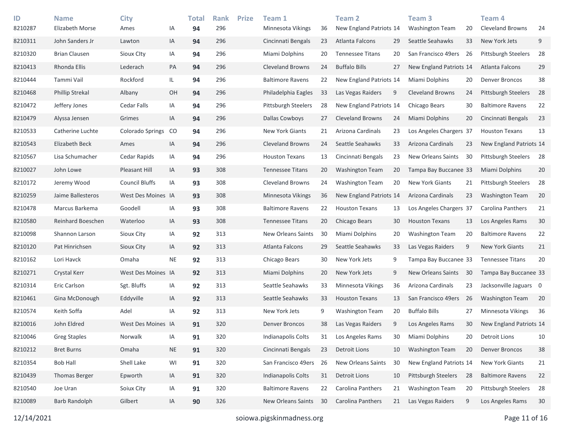| ID<br>8210287 | <b>Name</b><br>Elizabeth Morse | <b>City</b><br>Ames   | IA        | <b>Total</b><br>94 | <b>Rank</b><br>296 | <b>Prize</b> | Team 1<br>Minnesota Vikings | 36 | <b>Team 2</b><br>New England Patriots 14 |    | Team <sub>3</sub><br><b>Washington Team</b> | 20  | Team <sub>4</sub><br><b>Cleveland Browns</b> | 24 |
|---------------|--------------------------------|-----------------------|-----------|--------------------|--------------------|--------------|-----------------------------|----|------------------------------------------|----|---------------------------------------------|-----|----------------------------------------------|----|
| 8210311       | John Sanders Jr                | Lawton                | IA        | 94                 | 296                |              | Cincinnati Bengals          | 23 | Atlanta Falcons                          | 29 | Seattle Seahawks                            | 33  | New York Jets                                | 9  |
| 8210320       | <b>Brian Clausen</b>           | Sioux Clty            | IA        | 94                 | 296                |              | Miami Dolphins              | 20 | <b>Tennessee Titans</b>                  | 20 | San Francisco 49ers                         | -26 | Pittsburgh Steelers                          | 28 |
| 8210413       | Rhonda Ellis                   | Lederach              | PA        | 94                 | 296                |              | <b>Cleveland Browns</b>     | 24 | <b>Buffalo Bills</b>                     | 27 | New England Patriots 14                     |     | Atlanta Falcons                              | 29 |
| 8210444       | Tammi Vail                     | Rockford              | IL        | 94                 | 296                |              | <b>Baltimore Ravens</b>     | 22 | New England Patriots 14                  |    | Miami Dolphins                              | 20  | <b>Denver Broncos</b>                        | 38 |
| 8210468       | <b>Phillip Strekal</b>         | Albany                | OH        | 94                 | 296                |              | Philadelphia Eagles         | 33 | Las Vegas Raiders                        | 9  | <b>Cleveland Browns</b>                     | 24  | <b>Pittsburgh Steelers</b>                   | 28 |
| 8210472       | Jeffery Jones                  | Cedar Falls           | IA        | 94                 | 296                |              | Pittsburgh Steelers         | 28 | New England Patriots 14                  |    | Chicago Bears                               | 30  | <b>Baltimore Ravens</b>                      | 22 |
| 8210479       | Alyssa Jensen                  | Grimes                | IA        | 94                 | 296                |              | Dallas Cowboys              | 27 | <b>Cleveland Browns</b>                  | 24 | Miami Dolphins                              | 20  | Cincinnati Bengals                           | 23 |
| 8210533       | Catherine Luchte               | Colorado Springs      | CO        | 94                 | 296                |              | New York Giants             | 21 | Arizona Cardinals                        | 23 | Los Angeles Chargers 37                     |     | <b>Houston Texans</b>                        | 13 |
| 8210543       | Elizabeth Beck                 | Ames                  | IA        | 94                 | 296                |              | <b>Cleveland Browns</b>     | 24 | Seattle Seahawks                         | 33 | Arizona Cardinals                           | 23  | New England Patriots 14                      |    |
| 8210567       | Lisa Schumacher                | Cedar Rapids          | IA        | 94                 | 296                |              | <b>Houston Texans</b>       | 13 | Cincinnati Bengals                       | 23 | New Orleans Saints                          | 30  | Pittsburgh Steelers                          | 28 |
| 8210027       | John Lowe                      | Pleasant Hill         | IA        | 93                 | 308                |              | <b>Tennessee Titans</b>     | 20 | <b>Washington Team</b>                   | 20 | Tampa Bay Buccanee 33                       |     | Miami Dolphins                               | 20 |
| 8210172       | Jeremy Wood                    | <b>Council Bluffs</b> | ΙA        | 93                 | 308                |              | Cleveland Browns            | 24 | <b>Washington Team</b>                   | 20 | New York Giants                             | 21  | Pittsburgh Steelers                          | 28 |
| 8210259       | Jaime Ballesteros              | West Des Moines IA    |           | 93                 | 308                |              | Minnesota Vikings           | 36 | New England Patriots 14                  |    | Arizona Cardinals                           | 23  | <b>Washington Team</b>                       | 20 |
| 8210478       | Marcus Barkema                 | Goodell               | ΙA        | 93                 | 308                |              | <b>Baltimore Ravens</b>     | 22 | <b>Houston Texans</b>                    | 13 | Los Angeles Chargers 37                     |     | Carolina Panthers                            | 21 |
| 8210580       | Reinhard Boeschen              | Waterloo              | IA        | 93                 | 308                |              | <b>Tennessee Titans</b>     | 20 | Chicago Bears                            | 30 | <b>Houston Texans</b>                       | 13  | Los Angeles Rams                             | 30 |
| 8210098       | Shannon Larson                 | Sioux City            | IA        | 92                 | 313                |              | New Orleans Saints          | 30 | Miami Dolphins                           | 20 | Washington Team                             | 20  | <b>Baltimore Ravens</b>                      | 22 |
| 8210120       | Pat Hinrichsen                 | Sioux City            | IA        | 92                 | 313                |              | Atlanta Falcons             | 29 | Seattle Seahawks                         | 33 | Las Vegas Raiders                           | 9   | <b>New York Giants</b>                       | 21 |
| 8210162       | Lori Havck                     | Omaha                 | <b>NE</b> | 92                 | 313                |              | Chicago Bears               | 30 | New York Jets                            | 9  | Tampa Bay Buccanee 33                       |     | <b>Tennessee Titans</b>                      | 20 |
| 8210271       | Crystal Kerr                   | West Des Moines IA    |           | 92                 | 313                |              | Miami Dolphins              | 20 | New York Jets                            | 9  | New Orleans Saints                          | 30  | Tampa Bay Buccanee 33                        |    |
| 8210314       | Eric Carlson                   | Sgt. Bluffs           | IA        | 92                 | 313                |              | Seattle Seahawks            | 33 | Minnesota Vikings                        | 36 | Arizona Cardinals                           | 23  | Jacksonville Jaguars 0                       |    |
| 8210461       | Gina McDonough                 | Eddyville             | IA        | 92                 | 313                |              | Seattle Seahawks            | 33 | <b>Houston Texans</b>                    | 13 | San Francisco 49ers                         | 26  | <b>Washington Team</b>                       | 20 |
| 8210574       | Keith Soffa                    | Adel                  | IA        | 92                 | 313                |              | New York Jets               | 9  | <b>Washington Team</b>                   | 20 | <b>Buffalo Bills</b>                        | 27  | <b>Minnesota Vikings</b>                     | 36 |
| 8210016       | John Eldred                    | West Des Moines IA    |           | 91                 | 320                |              | <b>Denver Broncos</b>       | 38 | Las Vegas Raiders                        | 9  | Los Angeles Rams                            | 30  | New England Patriots 14                      |    |
| 8210046       | <b>Greg Staples</b>            | Norwalk               | ΙA        | 91                 | 320                |              | Indianapolis Colts          | 31 | Los Angeles Rams                         | 30 | Miami Dolphins                              | 20  | <b>Detroit Lions</b>                         | 10 |
| 8210212       | <b>Bret Burns</b>              | Omaha                 | <b>NE</b> | 91                 | 320                |              | Cincinnati Bengals          | 23 | Detroit Lions                            | 10 | <b>Washington Team</b>                      | 20  | <b>Denver Broncos</b>                        | 38 |
| 8210354       | <b>Bob Hall</b>                | Shell Lake            | WI        | 91                 | 320                |              | San Francisco 49ers         | 26 | New Orleans Saints                       | 30 | New England Patriots 14                     |     | New York Giants                              | 21 |
| 8210439       | <b>Thomas Berger</b>           | Epworth               | IA        | 91                 | 320                |              | Indianapolis Colts          | 31 | <b>Detroit Lions</b>                     | 10 | Pittsburgh Steelers                         | 28  | <b>Baltimore Ravens</b>                      | 22 |
| 8210540       | Joe Uran                       | Soiux City            | IA        | 91                 | 320                |              | <b>Baltimore Ravens</b>     | 22 | Carolina Panthers                        | 21 | <b>Washington Team</b>                      | 20  | Pittsburgh Steelers                          | 28 |
| 8210089       | <b>Barb Randolph</b>           | Gilbert               | IA        | 90                 | 326                |              | New Orleans Saints          | 30 | Carolina Panthers                        | 21 | Las Vegas Raiders                           | 9   | Los Angeles Rams                             | 30 |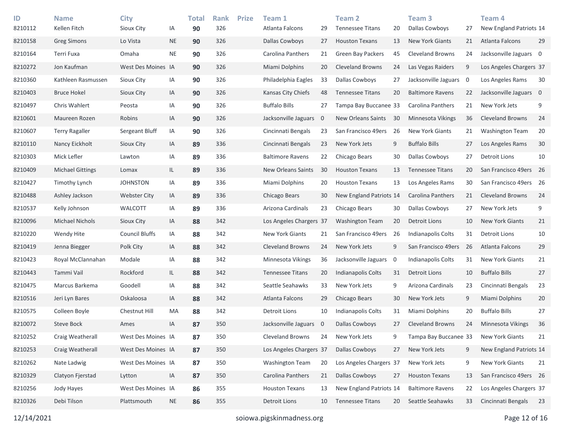| ID<br>8210112 | <b>Name</b><br>Kellen Fitch | <b>City</b><br>Sioux City | IA        | <b>Total</b><br>90 | <b>Rank</b><br>326 | <b>Prize</b> | Team 1<br>Atlanta Falcons | 29          | <b>Team 2</b><br><b>Tennessee Titans</b> | 20 | Team <sub>3</sub><br><b>Dallas Cowboys</b> | 27             | Team 4<br>New England Patriots 14 |    |
|---------------|-----------------------------|---------------------------|-----------|--------------------|--------------------|--------------|---------------------------|-------------|------------------------------------------|----|--------------------------------------------|----------------|-----------------------------------|----|
| 8210158       | <b>Greg Simons</b>          | Lo Vista                  | <b>NE</b> | 90                 | 326                |              | Dallas Cowboys            | 27          | <b>Houston Texans</b>                    | 13 | <b>New York Giants</b>                     | 21             | Atlanta Falcons                   | 29 |
| 8210164       | Terri Fuxa                  | Omaha                     | <b>NE</b> | 90                 | 326                |              | Carolina Panthers         | 21          | <b>Green Bay Packers</b>                 | 45 | <b>Cleveland Browns</b>                    | 24             | Jacksonville Jaguars 0            |    |
| 8210272       | Jon Kaufman                 | West Des Moines IA        |           | 90                 | 326                |              | Miami Dolphins            | 20          | <b>Cleveland Browns</b>                  | 24 | Las Vegas Raiders                          | 9              | Los Angeles Chargers 37           |    |
| 8210360       | Kathleen Rasmussen          | Sioux City                | IA        | 90                 | 326                |              | Philadelphia Eagles       | 33          | <b>Dallas Cowboys</b>                    | 27 | Jacksonville Jaguars                       | $\overline{0}$ | Los Angeles Rams                  | 30 |
| 8210403       | <b>Bruce Hokel</b>          | Sioux City                | ΙA        | 90                 | 326                |              | Kansas City Chiefs        | 48          | <b>Tennessee Titans</b>                  | 20 | <b>Baltimore Ravens</b>                    | 22             | Jacksonville Jaguars 0            |    |
| 8210497       | Chris Wahlert               | Peosta                    | IA        | 90                 | 326                |              | <b>Buffalo Bills</b>      | 27          | Tampa Bay Buccanee 33                    |    | <b>Carolina Panthers</b>                   | 21             | New York Jets                     | 9  |
| 8210601       | Maureen Rozen               | Robins                    | ΙA        | 90                 | 326                |              | Jacksonville Jaguars      | $\mathbf 0$ | New Orleans Saints                       | 30 | <b>Minnesota Vikings</b>                   | 36             | <b>Cleveland Browns</b>           | 24 |
| 8210607       | <b>Terry Ragaller</b>       | Sergeant Bluff            | IA        | 90                 | 326                |              | Cincinnati Bengals        | 23          | San Francisco 49ers 26                   |    | <b>New York Giants</b>                     | 21             | <b>Washington Team</b>            | 20 |
| 8210110       | Nancy Eickholt              | Sioux City                | IA        | 89                 | 336                |              | Cincinnati Bengals        | 23          | New York Jets                            | 9  | <b>Buffalo Bills</b>                       | 27             | Los Angeles Rams                  | 30 |
| 8210303       | Mick Lefler                 | Lawton                    | ΙA        | 89                 | 336                |              | <b>Baltimore Ravens</b>   | 22          | Chicago Bears                            | 30 | Dallas Cowboys                             | 27             | <b>Detroit Lions</b>              | 10 |
| 8210409       | <b>Michael Gittings</b>     | Lomax                     | IL.       | 89                 | 336                |              | <b>New Orleans Saints</b> | 30          | <b>Houston Texans</b>                    | 13 | <b>Tennessee Titans</b>                    | 20             | San Francisco 49ers 26            |    |
| 8210427       | Timothy Lynch               | <b>JOHNSTON</b>           | IA        | 89                 | 336                |              | Miami Dolphins            | 20          | <b>Houston Texans</b>                    | 13 | Los Angeles Rams                           | 30             | San Francisco 49ers 26            |    |
| 8210488       | Ashley Jackson              | <b>Webster City</b>       | IA        | 89                 | 336                |              | Chicago Bears             | 30          | New England Patriots 14                  |    | Carolina Panthers                          | 21             | <b>Cleveland Browns</b>           | 24 |
| 8210537       | Kelly Johnson               | <b>WALCOTT</b>            | IA        | 89                 | 336                |              | Arizona Cardinals         | 23          | Chicago Bears                            | 30 | Dallas Cowboys                             | 27             | New York Jets                     | 9  |
| 8210096       | <b>Michael Nichols</b>      | Sioux City                | IA        | 88                 | 342                |              | Los Angeles Chargers 37   |             | <b>Washington Team</b>                   | 20 | Detroit Lions                              | 10             | <b>New York Giants</b>            | 21 |
| 8210220       | Wendy Hite                  | <b>Council Bluffs</b>     | IA        | 88                 | 342                |              | New York Giants           | 21          | San Francisco 49ers                      | 26 | Indianapolis Colts                         | 31             | <b>Detroit Lions</b>              | 10 |
| 8210419       | Jenna Biegger               | Polk City                 | IA        | 88                 | 342                |              | <b>Cleveland Browns</b>   | 24          | New York Jets                            | 9  | San Francisco 49ers                        | 26             | Atlanta Falcons                   | 29 |
| 8210423       | Royal McClannahan           | Modale                    | IA        | 88                 | 342                |              | Minnesota Vikings         | 36          | Jacksonville Jaguars                     | 0  | Indianapolis Colts                         | 31             | <b>New York Giants</b>            | 21 |
| 8210443       | Tammi Vail                  | Rockford                  | IL.       | 88                 | 342                |              | <b>Tennessee Titans</b>   | 20          | Indianapolis Colts                       | 31 | <b>Detroit Lions</b>                       | 10             | <b>Buffalo Bills</b>              | 27 |
| 8210475       | Marcus Barkema              | Goodell                   | ΙA        | 88                 | 342                |              | Seattle Seahawks          | 33          | New York Jets                            | 9  | Arizona Cardinals                          | 23             | Cincinnati Bengals                | 23 |
| 8210516       | Jeri Lyn Bares              | Oskaloosa                 | IA        | 88                 | 342                |              | Atlanta Falcons           | 29          | Chicago Bears                            | 30 | New York Jets                              | 9              | Miami Dolphins                    | 20 |
| 8210575       | Colleen Boyle               | Chestnut Hill             | МA        | 88                 | 342                |              | Detroit Lions             | 10          | Indianapolis Colts                       | 31 | Miami Dolphins                             | 20             | <b>Buffalo Bills</b>              | 27 |
| 8210072       | <b>Steve Bock</b>           | Ames                      | IA        | 87                 | 350                |              | Jacksonville Jaguars      | - 0         | <b>Dallas Cowboys</b>                    | 27 | <b>Cleveland Browns</b>                    | 24             | Minnesota Vikings                 | 36 |
| 8210252       | Craig Weatherall            | West Des Moines IA        |           | 87                 | 350                |              | Cleveland Browns          | 24          | New York Jets                            | 9  | Tampa Bay Buccanee 33                      |                | <b>New York Giants</b>            | 21 |
| 8210253       | Craig Weatherall            | West Des Moines IA        |           | 87                 | 350                |              | Los Angeles Chargers 37   |             | Dallas Cowboys                           | 27 | New York Jets                              | 9              | New England Patriots 14           |    |
| 8210262       | Nate Ladwig                 | West Des Moines IA        |           | 87                 | 350                |              | <b>Washington Team</b>    | 20          | Los Angeles Chargers 37                  |    | New York Jets                              | 9              | New York Giants                   | 21 |
| 8210329       | Clatyon Fjerstad            | Lytton                    | IA        | 87                 | 350                |              | Carolina Panthers         | 21          | Dallas Cowboys                           | 27 | <b>Houston Texans</b>                      | 13             | San Francisco 49ers 26            |    |
| 8210256       | Jody Hayes                  | West Des Moines IA        |           | 86                 | 355                |              | <b>Houston Texans</b>     | 13          | New England Patriots 14                  |    | <b>Baltimore Ravens</b>                    | 22             | Los Angeles Chargers 37           |    |
| 8210326       | Debi Tilson                 | Plattsmouth               | <b>NE</b> | 86                 | 355                |              | Detroit Lions             | 10          | <b>Tennessee Titans</b>                  | 20 | Seattle Seahawks                           | 33             | Cincinnati Bengals                | 23 |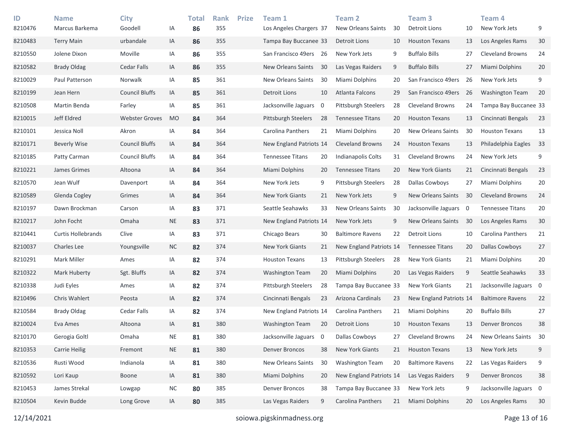| ID<br>8210476 | <b>Name</b><br>Marcus Barkema | <b>City</b><br>Goodell | ΙA        | <b>Total</b><br>86 | <b>Rank</b><br>355 | <b>Prize</b> | Team 1<br>Los Angeles Chargers 37 |                | Team <sub>2</sub><br>New Orleans Saints | 30 | Team <sub>3</sub><br>Detroit Lions | 10             | Team <sub>4</sub><br>New York Jets | 9  |
|---------------|-------------------------------|------------------------|-----------|--------------------|--------------------|--------------|-----------------------------------|----------------|-----------------------------------------|----|------------------------------------|----------------|------------------------------------|----|
| 8210483       | <b>Terry Main</b>             | urbandale              | IA        | 86                 | 355                |              | Tampa Bay Buccanee 33             |                | Detroit Lions                           | 10 | <b>Houston Texans</b>              | 13             | Los Angeles Rams                   | 30 |
| 8210550       | Jolene Dixon                  | Moville                | IA        | 86                 | 355                |              | San Francisco 49ers               | -26            | New York Jets                           | 9  | <b>Buffalo Bills</b>               | 27             | <b>Cleveland Browns</b>            | 24 |
| 8210582       | <b>Brady Oldag</b>            | <b>Cedar Falls</b>     | IA        | 86                 | 355                |              | New Orleans Saints                | 30             | Las Vegas Raiders                       | 9  | <b>Buffalo Bills</b>               | 27             | Miami Dolphins                     | 20 |
| 8210029       | Paul Patterson                | Norwalk                | IA        | 85                 | 361                |              | New Orleans Saints                | 30             | Miami Dolphins                          | 20 | San Francisco 49ers                | 26             | New York Jets                      | 9  |
| 8210199       | Jean Hern                     | <b>Council Bluffs</b>  | IA        | 85                 | 361                |              | <b>Detroit Lions</b>              | 10             | Atlanta Falcons                         | 29 | San Francisco 49ers                | 26             | <b>Washington Team</b>             | 20 |
| 8210508       | Martin Benda                  | Farley                 | IA        | 85                 | 361                |              | Jacksonville Jaguars              | 0              | Pittsburgh Steelers                     | 28 | <b>Cleveland Browns</b>            | 24             | Tampa Bay Buccanee 33              |    |
| 8210015       | Jeff Eldred                   | <b>Webster Groves</b>  | <b>MO</b> | 84                 | 364                |              | <b>Pittsburgh Steelers</b>        | 28             | <b>Tennessee Titans</b>                 | 20 | <b>Houston Texans</b>              | 13             | Cincinnati Bengals                 | 23 |
| 8210101       | Jessica Noll                  | Akron                  | ΙA        | 84                 | 364                |              | Carolina Panthers                 | 21             | Miami Dolphins                          | 20 | New Orleans Saints                 | 30             | <b>Houston Texans</b>              | 13 |
| 8210171       | <b>Beverly Wise</b>           | <b>Council Bluffs</b>  | IA        | 84                 | 364                |              | New England Patriots 14           |                | <b>Cleveland Browns</b>                 | 24 | <b>Houston Texans</b>              | 13             | Philadelphia Eagles                | 33 |
| 8210185       | Patty Carman                  | <b>Council Bluffs</b>  | ΙA        | 84                 | 364                |              | <b>Tennessee Titans</b>           | 20             | Indianapolis Colts                      | 31 | <b>Cleveland Browns</b>            | 24             | New York Jets                      | 9  |
| 8210221       | James Grimes                  | Altoona                | IA        | 84                 | 364                |              | Miami Dolphins                    | 20             | <b>Tennessee Titans</b>                 | 20 | New York Giants                    | 21             | Cincinnati Bengals                 | 23 |
| 8210570       | Jean Wulf                     | Davenport              | IA        | 84                 | 364                |              | New York Jets                     | 9              | <b>Pittsburgh Steelers</b>              | 28 | Dallas Cowboys                     | 27             | Miami Dolphins                     | 20 |
| 8210589       | Glenda Cogley                 | Grimes                 | IA        | 84                 | 364                |              | New York Giants                   | 21             | New York Jets                           | 9  | New Orleans Saints                 | 30             | <b>Cleveland Browns</b>            | 24 |
| 8210197       | Dawn Brockman                 | Carson                 | ΙA        | 83                 | 371                |              | Seattle Seahawks                  | 33             | New Orleans Saints                      | 30 | Jacksonville Jaguars               | $\overline{0}$ | <b>Tennessee Titans</b>            | 20 |
| 8210217       | John Focht                    | Omaha                  | <b>NE</b> | 83                 | 371                |              | New England Patriots 14           |                | New York Jets                           | 9  | New Orleans Saints                 | 30             | Los Angeles Rams                   | 30 |
| 8210441       | Curtis Hollebrands            | Clive                  | IA        | 83                 | 371                |              | Chicago Bears                     | 30             | <b>Baltimore Ravens</b>                 | 22 | <b>Detroit Lions</b>               | 10             | Carolina Panthers                  | 21 |
| 8210037       | Charles Lee                   | Youngsville            | <b>NC</b> | 82                 | 374                |              | New York Giants                   | 21             | New England Patriots 14                 |    | <b>Tennessee Titans</b>            | 20             | <b>Dallas Cowboys</b>              | 27 |
| 8210291       | Mark Miller                   | Ames                   | ΙA        | 82                 | 374                |              | <b>Houston Texans</b>             | 13             | <b>Pittsburgh Steelers</b>              | 28 | New York Giants                    | 21             | Miami Dolphins                     | 20 |
| 8210322       | Mark Huberty                  | Sgt. Bluffs            | IA        | 82                 | 374                |              | Washington Team                   | 20             | Miami Dolphins                          | 20 | Las Vegas Raiders                  | 9              | Seattle Seahawks                   | 33 |
| 8210338       | Judi Eyles                    | Ames                   | ΙA        | 82                 | 374                |              | <b>Pittsburgh Steelers</b>        | 28             | Tampa Bay Buccanee 33                   |    | New York Giants                    | 21             | Jacksonville Jaguars 0             |    |
| 8210496       | Chris Wahlert                 | Peosta                 | IA        | 82                 | 374                |              | Cincinnati Bengals                | 23             | Arizona Cardinals                       | 23 | New England Patriots 14            |                | <b>Baltimore Ravens</b>            | 22 |
| 8210584       | <b>Brady Oldag</b>            | Cedar Falls            | ΙA        | 82                 | 374                |              | New England Patriots 14           |                | Carolina Panthers                       | 21 | Miami Dolphins                     | 20             | <b>Buffalo Bills</b>               | 27 |
| 8210024       | Eva Ames                      | Altoona                | ΙA        | 81                 | 380                |              | <b>Washington Team</b>            | 20             | Detroit Lions                           | 10 | <b>Houston Texans</b>              | 13             | Denver Broncos                     | 38 |
| 8210170       | Gerogia Goltl                 | Omaha                  | <b>NE</b> | 81                 | 380                |              | Jacksonville Jaguars              | $\overline{0}$ | Dallas Cowboys                          | 27 | <b>Cleveland Browns</b>            | 24             | New Orleans Saints                 | 30 |
| 8210353       | <b>Carrie Heilig</b>          | Fremont                | <b>NE</b> | 81                 | 380                |              | Denver Broncos                    | 38             | New York Giants                         | 21 | <b>Houston Texans</b>              | 13             | New York Jets                      | 9  |
| 8210536       | Rusti Wood                    | Indianola              | IA        | 81                 | 380                |              | New Orleans Saints                | 30             | <b>Washington Team</b>                  | 20 | <b>Baltimore Ravens</b>            | 22             | Las Vegas Raiders                  | 9  |
| 8210592       | Lori Kaup                     | Boone                  | IA        | 81                 | 380                |              | Miami Dolphins                    | 20             | New England Patriots 14                 |    | Las Vegas Raiders                  | 9              | Denver Broncos                     | 38 |
| 8210453       | James Strekal                 | Lowgap                 | NC        | 80                 | 385                |              | <b>Denver Broncos</b>             | 38             | Tampa Bay Buccanee 33                   |    | New York Jets                      | 9              | Jacksonville Jaguars 0             |    |
| 8210504       | Kevin Budde                   | Long Grove             | IA        | 80                 | 385                |              | Las Vegas Raiders                 | 9              | Carolina Panthers                       | 21 | Miami Dolphins                     | 20             | Los Angeles Rams                   | 30 |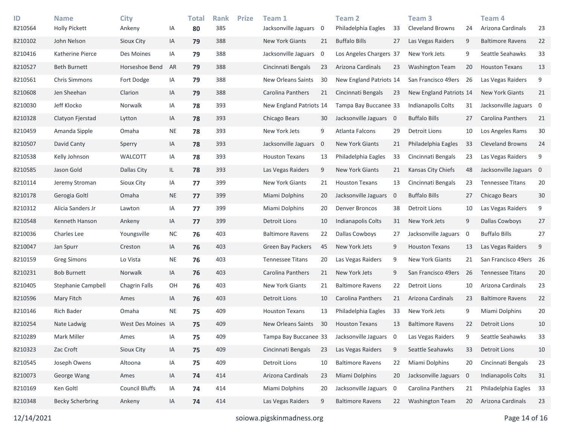| ID<br>8210564 | <b>Name</b><br><b>Holly Pickett</b> | <b>City</b><br>Ankeny | IA        | <b>Total</b><br>80 | <b>Rank</b><br>385 | <b>Prize</b> | Team 1<br>Jacksonville Jaguars 0 |    | Team <sub>2</sub><br>Philadelphia Eagles | 33                      | Team <sub>3</sub><br><b>Cleveland Browns</b> | 24                       | Team 4<br>Arizona Cardinals | 23     |
|---------------|-------------------------------------|-----------------------|-----------|--------------------|--------------------|--------------|----------------------------------|----|------------------------------------------|-------------------------|----------------------------------------------|--------------------------|-----------------------------|--------|
| 8210102       | John Nelson                         | Sioux City            | IA        | 79                 | 388                |              | New York Giants                  | 21 | <b>Buffalo Bills</b>                     | 27                      | Las Vegas Raiders                            | 9                        | <b>Baltimore Ravens</b>     | 22     |
| 8210416       | Katherine Pierce                    | Des Moines            | IA        | 79                 | 388                |              | Jacksonville Jaguars             | 0  | Los Angeles Chargers 37                  |                         | New York Jets                                | 9                        | Seattle Seahawks            | 33     |
| 8210527       | <b>Beth Burnett</b>                 | Horseshoe Bend        | AR        | 79                 | 388                |              | Cincinnati Bengals               | 23 | Arizona Cardinals                        | 23                      | <b>Washington Team</b>                       | 20                       | <b>Houston Texans</b>       | 13     |
| 8210561       | <b>Chris Simmons</b>                | Fort Dodge            | ΙA        | 79                 | 388                |              | New Orleans Saints               | 30 | New England Patriots 14                  |                         | San Francisco 49ers                          | 26                       | Las Vegas Raiders           | 9      |
| 8210608       | Jen Sheehan                         | Clarion               | IA        | 79                 | 388                |              | Carolina Panthers                | 21 | Cincinnati Bengals                       | 23                      | New England Patriots 14                      |                          | <b>New York Giants</b>      | 21     |
| 8210030       | Jeff Klocko                         | Norwalk               | IA        | 78                 | 393                |              | New England Patriots 14          |    | Tampa Bay Buccanee 33                    |                         | Indianapolis Colts                           | 31                       | Jacksonville Jaguars 0      |        |
| 8210328       | Clatyon Fjerstad                    | Lytton                | IA        | 78                 | 393                |              | Chicago Bears                    | 30 | Jacksonville Jaguars 0                   |                         | <b>Buffalo Bills</b>                         | 27                       | Carolina Panthers           | 21     |
| 8210459       | Amanda Sipple                       | Omaha                 | <b>NE</b> | 78                 | 393                |              | New York Jets                    | 9  | Atlanta Falcons                          | 29                      | Detroit Lions                                | 10                       | Los Angeles Rams            | $30$   |
| 8210507       | David Canty                         | Sperry                | IA        | 78                 | 393                |              | Jacksonville Jaguars 0           |    | <b>New York Giants</b>                   | 21                      | Philadelphia Eagles                          | 33                       | <b>Cleveland Browns</b>     | 24     |
| 8210538       | Kelly Johnson                       | WALCOTT               | IA        | 78                 | 393                |              | <b>Houston Texans</b>            | 13 | Philadelphia Eagles                      | 33                      | Cincinnati Bengals                           | 23                       | Las Vegas Raiders           | 9      |
| 8210585       | Jason Gold                          | Dallas City           | IL        | 78                 | 393                |              | Las Vegas Raiders                | 9  | <b>New York Giants</b>                   | 21                      | Kansas City Chiefs                           | 48                       | Jacksonville Jaguars 0      |        |
| 8210114       | Jeremy Stroman                      | Sioux City            | IA        | 77                 | 399                |              | New York Giants                  | 21 | <b>Houston Texans</b>                    | 13                      | Cincinnati Bengals                           | 23                       | <b>Tennessee Titans</b>     | 20     |
| 8210178       | Gerogia Goltl                       | Omaha                 | <b>NE</b> | 77                 | 399                |              | Miami Dolphins                   | 20 | Jacksonville Jaguars                     | $\overline{\mathbf{0}}$ | <b>Buffalo Bills</b>                         | 27                       | Chicago Bears               | 30     |
| 8210312       | Alicia Sanders Jr                   | Lawton                | ΙA        | 77                 | 399                |              | Miami Dolphins                   | 20 | <b>Denver Broncos</b>                    | 38                      | <b>Detroit Lions</b>                         | 10                       | Las Vegas Raiders           | 9      |
| 8210548       | Kenneth Hanson                      | Ankeny                | IA        | 77                 | 399                |              | <b>Detroit Lions</b>             | 10 | Indianapolis Colts                       | 31                      | New York Jets                                | 9                        | Dallas Cowboys              | 27     |
| 8210036       | Charles Lee                         | Youngsville           | <b>NC</b> | 76                 | 403                |              | <b>Baltimore Ravens</b>          | 22 | <b>Dallas Cowboys</b>                    | 27                      | Jacksonville Jaguars                         | - 0                      | <b>Buffalo Bills</b>        | 27     |
| 8210047       | Jan Spurr                           | Creston               | IA        | 76                 | 403                |              | <b>Green Bay Packers</b>         | 45 | New York Jets                            | 9                       | <b>Houston Texans</b>                        | 13                       | Las Vegas Raiders           | 9      |
| 8210159       | <b>Greg Simons</b>                  | Lo Vista              | <b>NE</b> | 76                 | 403                |              | <b>Tennessee Titans</b>          | 20 | Las Vegas Raiders                        | 9                       | New York Giants                              | 21                       | San Francisco 49ers 26      |        |
| 8210231       | <b>Bob Burnett</b>                  | Norwalk               | IA        | 76                 | 403                |              | Carolina Panthers                | 21 | New York Jets                            | 9                       | San Francisco 49ers                          | 26                       | <b>Tennessee Titans</b>     | 20     |
| 8210405       | Stephanie Campbell                  | Chagrin Falls         | OH        | 76                 | 403                |              | New York Giants                  | 21 | <b>Baltimore Ravens</b>                  | 22                      | <b>Detroit Lions</b>                         | 10                       | Arizona Cardinals           | 23     |
| 8210596       | Mary Fitch                          | Ames                  | IA        | 76                 | 403                |              | <b>Detroit Lions</b>             | 10 | Carolina Panthers                        | 21                      | Arizona Cardinals                            | 23                       | <b>Baltimore Ravens</b>     | 22     |
| 8210146       | <b>Rich Bader</b>                   | Omaha                 | <b>NE</b> | 75                 | 409                |              | <b>Houston Texans</b>            | 13 | Philadelphia Eagles                      | 33                      | New York Jets                                | 9                        | Miami Dolphins              | $20\,$ |
| 8210254       | Nate Ladwig                         | West Des Moines IA    |           | 75                 | 409                |              | <b>New Orleans Saints</b>        | 30 | <b>Houston Texans</b>                    | 13                      | <b>Baltimore Ravens</b>                      | 22                       | <b>Detroit Lions</b>        | 10     |
| 8210289       | Mark Miller                         | Ames                  | ΙA        | 75                 | 409                |              | Tampa Bay Buccanee 33            |    | Jacksonville Jaguars                     | 0                       | Las Vegas Raiders                            | 9                        | Seattle Seahawks            | 33     |
| 8210323       | Zac Croft                           | Sioux City            | IA        | 75                 | 409                |              | Cincinnati Bengals               | 23 | Las Vegas Raiders                        | 9                       | Seattle Seahawks                             | 33                       | <b>Detroit Lions</b>        | 10     |
| 8210545       | Joseph Owens                        | Altoona               | IA        | 75                 | 409                |              | <b>Detroit Lions</b>             | 10 | <b>Baltimore Ravens</b>                  | 22                      | Miami Dolphins                               | 20                       | Cincinnati Bengals          | 23     |
| 8210073       | George Wang                         | Ames                  | IA        | 74                 | 414                |              | Arizona Cardinals                | 23 | Miami Dolphins                           | 20                      | Jacksonville Jaguars                         | $\overline{\phantom{0}}$ | Indianapolis Colts          | 31     |
| 8210169       | Ken Goltl                           | <b>Council Bluffs</b> | IA        | 74                 | 414                |              | Miami Dolphins                   | 20 | Jacksonville Jaguars 0                   |                         | Carolina Panthers                            | 21                       | Philadelphia Eagles         | 33     |
| 8210348       | <b>Becky Scherbring</b>             | Ankeny                | IA        | 74                 | 414                |              | Las Vegas Raiders                | 9  | <b>Baltimore Ravens</b>                  | 22                      | <b>Washington Team</b>                       | 20                       | Arizona Cardinals           | 23     |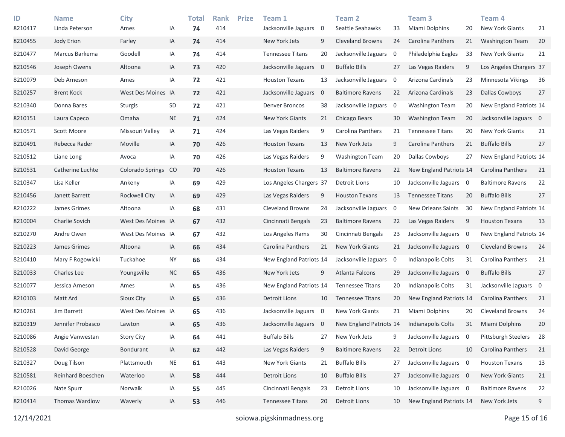| ID<br>8210417 | <b>Name</b><br>Linda Peterson | <b>City</b><br>Ames | IA              | <b>Total</b><br>74 | <b>Rank</b><br>414 | <b>Prize</b> | Team 1<br>Jacksonville Jaguars | 0              | Team <sub>2</sub><br>Seattle Seahawks | 33                      | Team 3<br>Miami Dolphins | 20                       | Team <sub>4</sub><br><b>New York Giants</b> | 21  |
|---------------|-------------------------------|---------------------|-----------------|--------------------|--------------------|--------------|--------------------------------|----------------|---------------------------------------|-------------------------|--------------------------|--------------------------|---------------------------------------------|-----|
| 8210455       | Jody Erion                    | Farley              | IA              | 74                 | 414                |              | New York Jets                  | 9              | <b>Cleveland Browns</b>               | 24                      | Carolina Panthers        | 21                       | <b>Washington Team</b>                      | 20  |
| 8210477       | Marcus Barkema                | Goodell             | IA              | 74                 | 414                |              | <b>Tennessee Titans</b>        | 20             | Jacksonville Jaguars                  | $\overline{\mathbf{0}}$ | Philadelphia Eagles      | 33                       | New York Giants                             | 21  |
| 8210546       | Joseph Owens                  | Altoona             | IA              | 73                 | 420                |              | Jacksonville Jaguars           | $\mathbf 0$    | <b>Buffalo Bills</b>                  | 27                      | Las Vegas Raiders        | 9                        | Los Angeles Chargers 37                     |     |
| 8210079       | Deb Arneson                   | Ames                | IA              | 72                 | 421                |              | <b>Houston Texans</b>          | 13             | Jacksonville Jaguars                  | $\overline{\mathbf{0}}$ | Arizona Cardinals        | 23                       | Minnesota Vikings                           | 36  |
| 8210257       | <b>Brent Kock</b>             | West Des Moines IA  |                 | 72                 | 421                |              | Jacksonville Jaguars           | $\mathbf 0$    | <b>Baltimore Ravens</b>               | 22                      | Arizona Cardinals        | 23                       | <b>Dallas Cowboys</b>                       | 27  |
| 8210340       | Donna Bares                   | Sturgis             | SD              | 72                 | 421                |              | Denver Broncos                 | 38             | Jacksonville Jaguars                  | $\overline{\mathbf{0}}$ | <b>Washington Team</b>   | 20                       | New England Patriots 14                     |     |
| 8210151       | Laura Capeco                  | Omaha               | <b>NE</b>       | 71                 | 424                |              | New York Giants                | 21             | Chicago Bears                         | 30                      | <b>Washington Team</b>   | 20                       | Jacksonville Jaguars 0                      |     |
| 8210571       | Scott Moore                   | Missouri Valley     | IA              | 71                 | 424                |              | Las Vegas Raiders              | 9              | Carolina Panthers                     | 21                      | <b>Tennessee Titans</b>  | 20                       | New York Giants                             | 21  |
| 8210491       | Rebecca Rader                 | Moville             | IA              | 70                 | 426                |              | <b>Houston Texans</b>          | 13             | New York Jets                         | 9                       | Carolina Panthers        | 21                       | <b>Buffalo Bills</b>                        | 27  |
| 8210512       | Liane Long                    | Avoca               | IA              | 70                 | 426                |              | Las Vegas Raiders              | 9              | <b>Washington Team</b>                | 20                      | Dallas Cowboys           | 27                       | New England Patriots 14                     |     |
| 8210531       | Catherine Luchte              | Colorado Springs    | CO <sub>1</sub> | 70                 | 426                |              | <b>Houston Texans</b>          | 13             | <b>Baltimore Ravens</b>               | 22                      | New England Patriots 14  |                          | Carolina Panthers                           | 21  |
| 8210347       | Lisa Keller                   | Ankeny              | IA              | 69                 | 429                |              | Los Angeles Chargers 37        |                | Detroit Lions                         | 10                      | Jacksonville Jaguars 0   |                          | <b>Baltimore Ravens</b>                     | 22  |
| 8210456       | Janett Barrett                | Rockwell City       | IA              | 69                 | 429                |              | Las Vegas Raiders              | 9              | <b>Houston Texans</b>                 | 13                      | <b>Tennessee Titans</b>  | 20                       | <b>Buffalo Bills</b>                        | 27  |
| 8210222       | James Grimes                  | Altoona             | IA              | 68                 | 431                |              | <b>Cleveland Browns</b>        | 24             | Jacksonville Jaguars                  | $\overline{0}$          | New Orleans Saints       | 30                       | New England Patriots 14                     |     |
| 8210004       | Charlie Sovich                | West Des Moines IA  |                 | 67                 | 432                |              | Cincinnati Bengals             | 23             | <b>Baltimore Ravens</b>               | 22                      | Las Vegas Raiders        | 9                        | <b>Houston Texans</b>                       | 13  |
| 8210270       | Andre Owen                    | West Des Moines IA  |                 | 67                 | 432                |              | Los Angeles Rams               | 30             | Cincinnati Bengals                    | 23                      | Jacksonville Jaguars     | $\overline{\phantom{0}}$ | New England Patriots 14                     |     |
| 8210223       | James Grimes                  | Altoona             | IA              | 66                 | 434                |              | Carolina Panthers              | 21             | <b>New York Giants</b>                | 21                      | Jacksonville Jaguars 0   |                          | <b>Cleveland Browns</b>                     | 24  |
| 8210410       | Mary F Rogowicki              | Tuckahoe            | <b>NY</b>       | 66                 | 434                |              | New England Patriots 14        |                | Jacksonville Jaguars                  | $\overline{0}$          | Indianapolis Colts       | 31                       | Carolina Panthers                           | 21  |
| 8210033       | Charles Lee                   | Youngsville         | <b>NC</b>       | 65                 | 436                |              | New York Jets                  | 9              | Atlanta Falcons                       | 29                      | Jacksonville Jaguars     | $\overline{\mathbf{0}}$  | <b>Buffalo Bills</b>                        | 27  |
| 8210077       | Jessica Arneson               | Ames                | IA              | 65                 | 436                |              | New England Patriots 14        |                | <b>Tennessee Titans</b>               | 20                      | Indianapolis Colts       | 31                       | Jacksonville Jaguars 0                      |     |
| 8210103       | Matt Ard                      | Sioux City          | IA              | 65                 | 436                |              | <b>Detroit Lions</b>           | 10             | <b>Tennessee Titans</b>               | 20                      | New England Patriots 14  |                          | Carolina Panthers                           | 21  |
| 8210261       | Jim Barrett                   | West Des Moines IA  |                 | 65                 | 436                |              | Jacksonville Jaguars           | $\overline{0}$ | New York Giants                       | 21                      | Miami Dolphins           | 20                       | <b>Cleveland Browns</b>                     | 24  |
| 8210319       | Jennifer Probasco             | Lawton              | IA              | 65                 | 436                |              | Jacksonville Jaguars 0         |                | New England Patriots 14               |                         | Indianapolis Colts       | 31                       | Miami Dolphins                              | 20  |
| 8210086       | Angie Vanwestan               | <b>Story City</b>   | IA              | 64                 | 441                |              | <b>Buffalo Bills</b>           | 27             | New York Jets                         | 9                       | Jacksonville Jaguars 0   |                          | Pittsburgh Steelers                         | -28 |
| 8210528       | David George                  | Bondurant           | IA              | 62                 | 442                |              | Las Vegas Raiders              | 9              | <b>Baltimore Ravens</b>               | 22                      | Detroit Lions            | 10                       | Carolina Panthers                           | 21  |
| 8210327       | Doug Tilson                   | Plattsmouth         | <b>NE</b>       | 61                 | 443                |              | New York Giants                | 21             | <b>Buffalo Bills</b>                  | 27                      | Jacksonville Jaguars 0   |                          | <b>Houston Texans</b>                       | 13  |
| 8210581       | Reinhard Boeschen             | Waterloo            | IA              | 58                 | 444                |              | <b>Detroit Lions</b>           | 10             | <b>Buffalo Bills</b>                  | 27                      | Jacksonville Jaguars 0   |                          | New York Giants                             | 21  |
| 8210026       | Nate Spurr                    | Norwalk             | IA              | 55                 | 445                |              | Cincinnati Bengals             | 23             | Detroit Lions                         | 10                      | Jacksonville Jaguars 0   |                          | <b>Baltimore Ravens</b>                     | 22  |
| 8210414       | Thomas Wardlow                | Waverly             | IA              | 53                 | 446                |              | <b>Tennessee Titans</b>        | 20             | Detroit Lions                         | 10                      | New England Patriots 14  |                          | New York Jets                               | 9   |